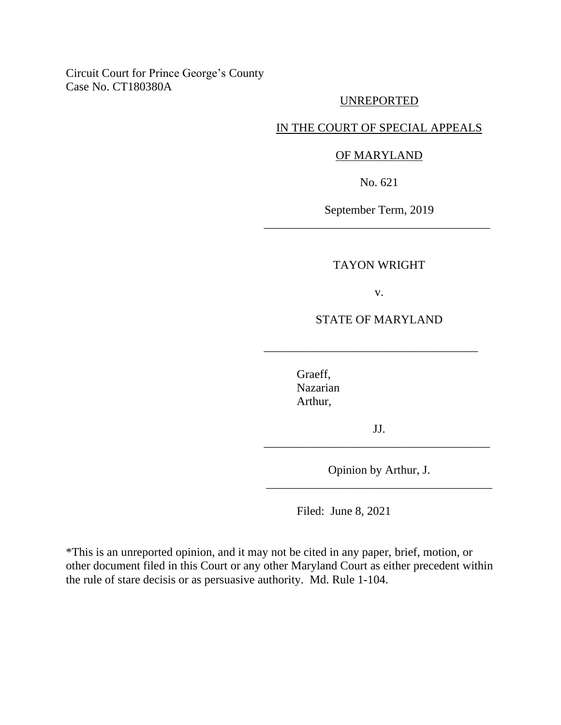## Circuit Court for Prince George's County Case No. CT180380A

## UNREPORTED

## IN THE COURT OF SPECIAL APPEALS

### OF MARYLAND

No. 621

September Term, 2019 \_\_\_\_\_\_\_\_\_\_\_\_\_\_\_\_\_\_\_\_\_\_\_\_\_\_\_\_\_\_\_\_\_\_\_\_\_\_

#### TAYON WRIGHT

v.

STATE OF MARYLAND

\_\_\_\_\_\_\_\_\_\_\_\_\_\_\_\_\_\_\_\_\_\_\_\_\_\_\_\_\_\_\_\_\_\_\_\_

Graeff, Nazarian Arthur,

JJ. \_\_\_\_\_\_\_\_\_\_\_\_\_\_\_\_\_\_\_\_\_\_\_\_\_\_\_\_\_\_\_\_\_\_\_\_\_\_

Opinion by Arthur, J. \_\_\_\_\_\_\_\_\_\_\_\_\_\_\_\_\_\_\_\_\_\_\_\_\_\_\_\_\_\_\_\_\_\_\_\_\_\_

Filed: June 8, 2021

\*This is an unreported opinion, and it may not be cited in any paper, brief, motion, or other document filed in this Court or any other Maryland Court as either precedent within the rule of stare decisis or as persuasive authority. Md. Rule 1-104.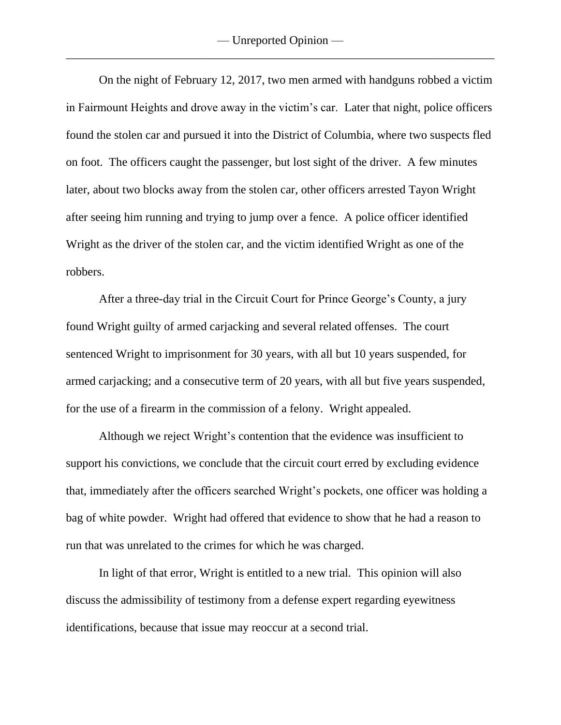On the night of February 12, 2017, two men armed with handguns robbed a victim in Fairmount Heights and drove away in the victim's car. Later that night, police officers found the stolen car and pursued it into the District of Columbia, where two suspects fled on foot. The officers caught the passenger, but lost sight of the driver. A few minutes later, about two blocks away from the stolen car, other officers arrested Tayon Wright after seeing him running and trying to jump over a fence. A police officer identified Wright as the driver of the stolen car, and the victim identified Wright as one of the robbers.

After a three-day trial in the Circuit Court for Prince George's County, a jury found Wright guilty of armed carjacking and several related offenses. The court sentenced Wright to imprisonment for 30 years, with all but 10 years suspended, for armed carjacking; and a consecutive term of 20 years, with all but five years suspended, for the use of a firearm in the commission of a felony. Wright appealed.

Although we reject Wright's contention that the evidence was insufficient to support his convictions, we conclude that the circuit court erred by excluding evidence that, immediately after the officers searched Wright's pockets, one officer was holding a bag of white powder. Wright had offered that evidence to show that he had a reason to run that was unrelated to the crimes for which he was charged.

In light of that error, Wright is entitled to a new trial. This opinion will also discuss the admissibility of testimony from a defense expert regarding eyewitness identifications, because that issue may reoccur at a second trial.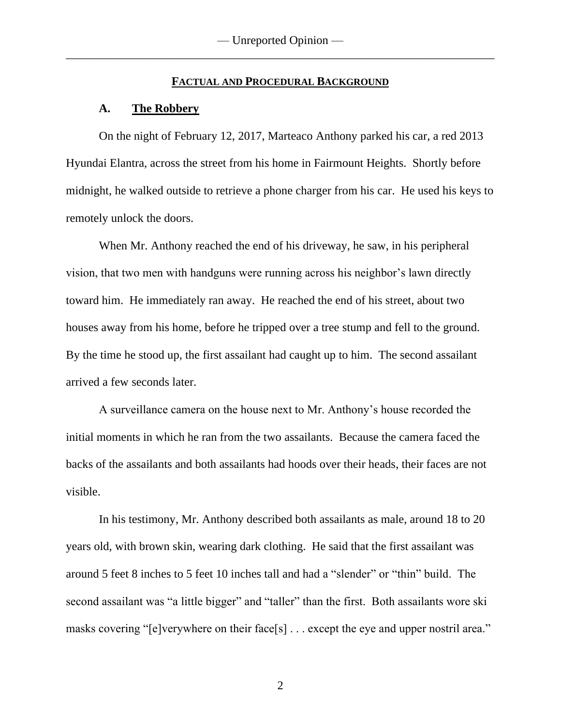### **FACTUAL AND PROCEDURAL BACKGROUND**

## **A. The Robbery**

On the night of February 12, 2017, Marteaco Anthony parked his car, a red 2013 Hyundai Elantra, across the street from his home in Fairmount Heights. Shortly before midnight, he walked outside to retrieve a phone charger from his car. He used his keys to remotely unlock the doors.

When Mr. Anthony reached the end of his driveway, he saw, in his peripheral vision, that two men with handguns were running across his neighbor's lawn directly toward him. He immediately ran away. He reached the end of his street, about two houses away from his home, before he tripped over a tree stump and fell to the ground. By the time he stood up, the first assailant had caught up to him. The second assailant arrived a few seconds later.

A surveillance camera on the house next to Mr. Anthony's house recorded the initial moments in which he ran from the two assailants. Because the camera faced the backs of the assailants and both assailants had hoods over their heads, their faces are not visible.

In his testimony, Mr. Anthony described both assailants as male, around 18 to 20 years old, with brown skin, wearing dark clothing. He said that the first assailant was around 5 feet 8 inches to 5 feet 10 inches tall and had a "slender" or "thin" build. The second assailant was "a little bigger" and "taller" than the first. Both assailants wore ski masks covering "[e]verywhere on their face[s] . . . except the eye and upper nostril area."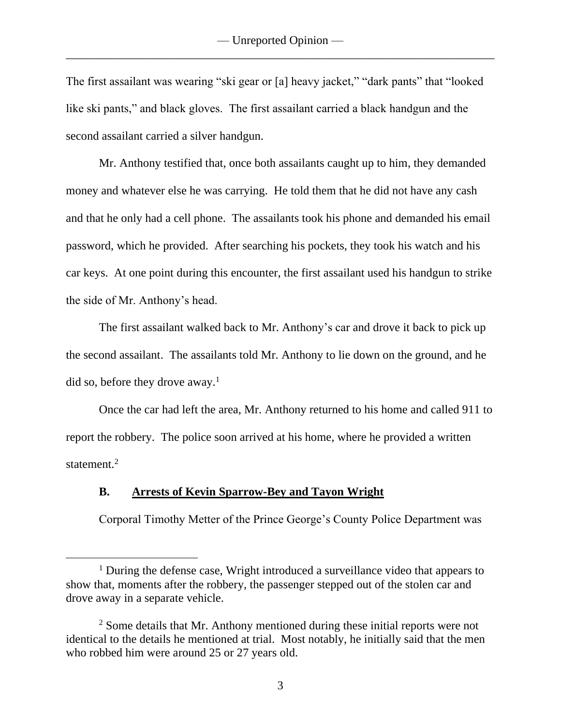The first assailant was wearing "ski gear or [a] heavy jacket," "dark pants" that "looked like ski pants," and black gloves. The first assailant carried a black handgun and the second assailant carried a silver handgun.

Mr. Anthony testified that, once both assailants caught up to him, they demanded money and whatever else he was carrying. He told them that he did not have any cash and that he only had a cell phone. The assailants took his phone and demanded his email password, which he provided. After searching his pockets, they took his watch and his car keys. At one point during this encounter, the first assailant used his handgun to strike the side of Mr. Anthony's head.

The first assailant walked back to Mr. Anthony's car and drove it back to pick up the second assailant. The assailants told Mr. Anthony to lie down on the ground, and he did so, before they drove away.<sup>1</sup>

Once the car had left the area, Mr. Anthony returned to his home and called 911 to report the robbery. The police soon arrived at his home, where he provided a written statement.<sup>2</sup>

## **B. Arrests of Kevin Sparrow-Bey and Tayon Wright**

Corporal Timothy Metter of the Prince George's County Police Department was

<sup>&</sup>lt;sup>1</sup> During the defense case, Wright introduced a surveillance video that appears to show that, moments after the robbery, the passenger stepped out of the stolen car and drove away in a separate vehicle.

<sup>&</sup>lt;sup>2</sup> Some details that Mr. Anthony mentioned during these initial reports were not identical to the details he mentioned at trial. Most notably, he initially said that the men who robbed him were around 25 or 27 years old.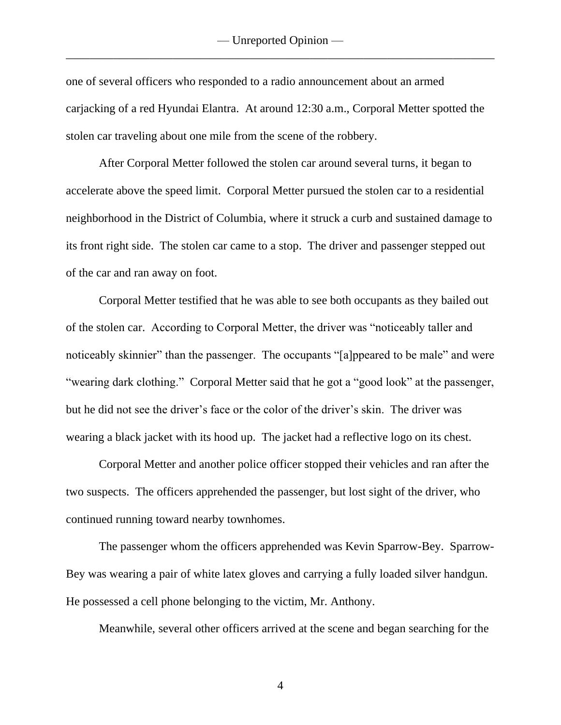one of several officers who responded to a radio announcement about an armed carjacking of a red Hyundai Elantra. At around 12:30 a.m., Corporal Metter spotted the stolen car traveling about one mile from the scene of the robbery.

After Corporal Metter followed the stolen car around several turns, it began to accelerate above the speed limit. Corporal Metter pursued the stolen car to a residential neighborhood in the District of Columbia, where it struck a curb and sustained damage to its front right side. The stolen car came to a stop. The driver and passenger stepped out of the car and ran away on foot.

Corporal Metter testified that he was able to see both occupants as they bailed out of the stolen car. According to Corporal Metter, the driver was "noticeably taller and noticeably skinnier" than the passenger. The occupants "[a]ppeared to be male" and were "wearing dark clothing." Corporal Metter said that he got a "good look" at the passenger, but he did not see the driver's face or the color of the driver's skin. The driver was wearing a black jacket with its hood up. The jacket had a reflective logo on its chest.

Corporal Metter and another police officer stopped their vehicles and ran after the two suspects. The officers apprehended the passenger, but lost sight of the driver, who continued running toward nearby townhomes.

The passenger whom the officers apprehended was Kevin Sparrow-Bey. Sparrow-Bey was wearing a pair of white latex gloves and carrying a fully loaded silver handgun. He possessed a cell phone belonging to the victim, Mr. Anthony.

Meanwhile, several other officers arrived at the scene and began searching for the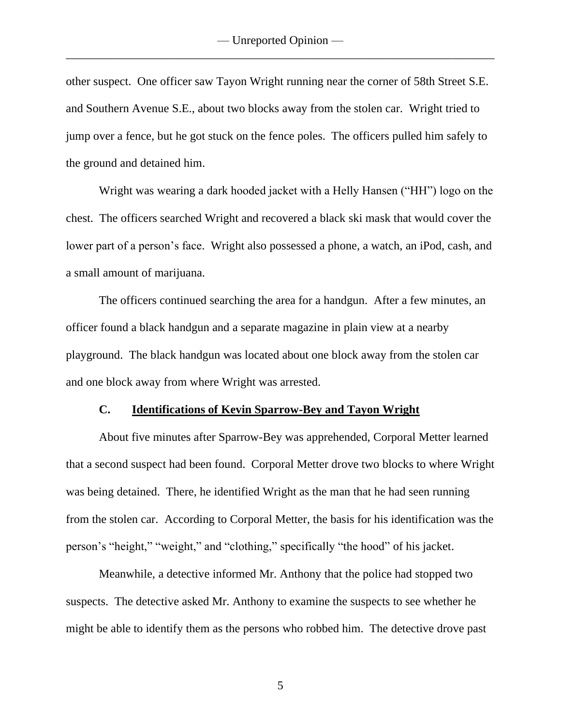other suspect. One officer saw Tayon Wright running near the corner of 58th Street S.E. and Southern Avenue S.E., about two blocks away from the stolen car. Wright tried to jump over a fence, but he got stuck on the fence poles. The officers pulled him safely to the ground and detained him.

Wright was wearing a dark hooded jacket with a Helly Hansen ("HH") logo on the chest. The officers searched Wright and recovered a black ski mask that would cover the lower part of a person's face. Wright also possessed a phone, a watch, an iPod, cash, and a small amount of marijuana.

The officers continued searching the area for a handgun. After a few minutes, an officer found a black handgun and a separate magazine in plain view at a nearby playground. The black handgun was located about one block away from the stolen car and one block away from where Wright was arrested.

#### **C. Identifications of Kevin Sparrow-Bey and Tayon Wright**

About five minutes after Sparrow-Bey was apprehended, Corporal Metter learned that a second suspect had been found. Corporal Metter drove two blocks to where Wright was being detained. There, he identified Wright as the man that he had seen running from the stolen car. According to Corporal Metter, the basis for his identification was the person's "height," "weight," and "clothing," specifically "the hood" of his jacket.

Meanwhile, a detective informed Mr. Anthony that the police had stopped two suspects. The detective asked Mr. Anthony to examine the suspects to see whether he might be able to identify them as the persons who robbed him. The detective drove past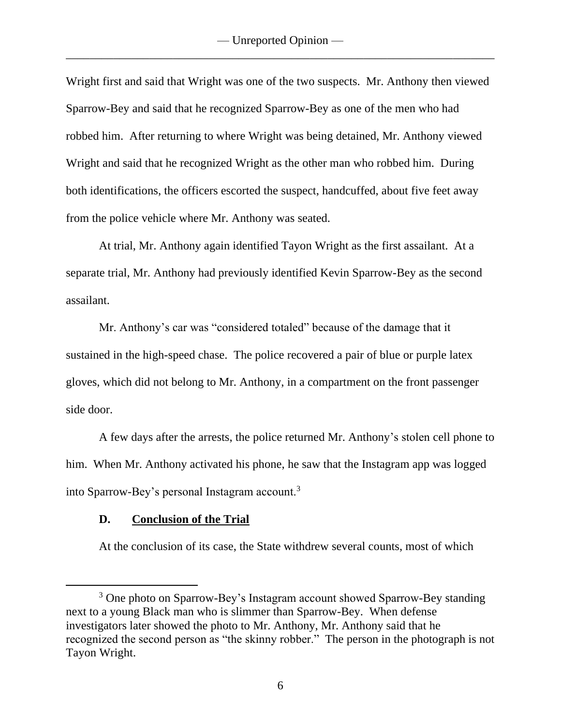Wright first and said that Wright was one of the two suspects. Mr. Anthony then viewed Sparrow-Bey and said that he recognized Sparrow-Bey as one of the men who had robbed him. After returning to where Wright was being detained, Mr. Anthony viewed Wright and said that he recognized Wright as the other man who robbed him. During both identifications, the officers escorted the suspect, handcuffed, about five feet away from the police vehicle where Mr. Anthony was seated.

At trial, Mr. Anthony again identified Tayon Wright as the first assailant. At a separate trial, Mr. Anthony had previously identified Kevin Sparrow-Bey as the second assailant.

Mr. Anthony's car was "considered totaled" because of the damage that it sustained in the high-speed chase. The police recovered a pair of blue or purple latex gloves, which did not belong to Mr. Anthony, in a compartment on the front passenger side door.

A few days after the arrests, the police returned Mr. Anthony's stolen cell phone to him. When Mr. Anthony activated his phone, he saw that the Instagram app was logged into Sparrow-Bey's personal Instagram account.<sup>3</sup>

## **D. Conclusion of the Trial**

At the conclusion of its case, the State withdrew several counts, most of which

<sup>&</sup>lt;sup>3</sup> One photo on Sparrow-Bey's Instagram account showed Sparrow-Bey standing next to a young Black man who is slimmer than Sparrow-Bey. When defense investigators later showed the photo to Mr. Anthony, Mr. Anthony said that he recognized the second person as "the skinny robber." The person in the photograph is not Tayon Wright.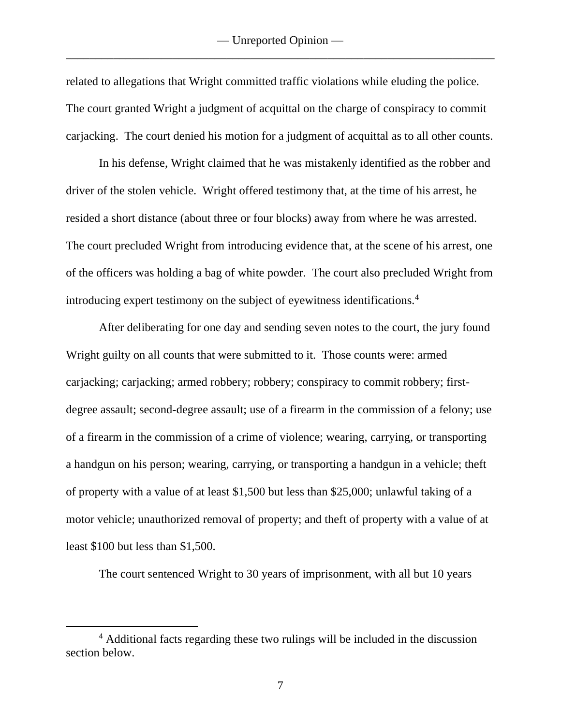related to allegations that Wright committed traffic violations while eluding the police. The court granted Wright a judgment of acquittal on the charge of conspiracy to commit carjacking. The court denied his motion for a judgment of acquittal as to all other counts.

In his defense, Wright claimed that he was mistakenly identified as the robber and driver of the stolen vehicle. Wright offered testimony that, at the time of his arrest, he resided a short distance (about three or four blocks) away from where he was arrested. The court precluded Wright from introducing evidence that, at the scene of his arrest, one of the officers was holding a bag of white powder. The court also precluded Wright from introducing expert testimony on the subject of eyewitness identifications.<sup>4</sup>

After deliberating for one day and sending seven notes to the court, the jury found Wright guilty on all counts that were submitted to it. Those counts were: armed carjacking; carjacking; armed robbery; robbery; conspiracy to commit robbery; firstdegree assault; second-degree assault; use of a firearm in the commission of a felony; use of a firearm in the commission of a crime of violence; wearing, carrying, or transporting a handgun on his person; wearing, carrying, or transporting a handgun in a vehicle; theft of property with a value of at least \$1,500 but less than \$25,000; unlawful taking of a motor vehicle; unauthorized removal of property; and theft of property with a value of at least \$100 but less than \$1,500.

The court sentenced Wright to 30 years of imprisonment, with all but 10 years

<sup>4</sup> Additional facts regarding these two rulings will be included in the discussion section below.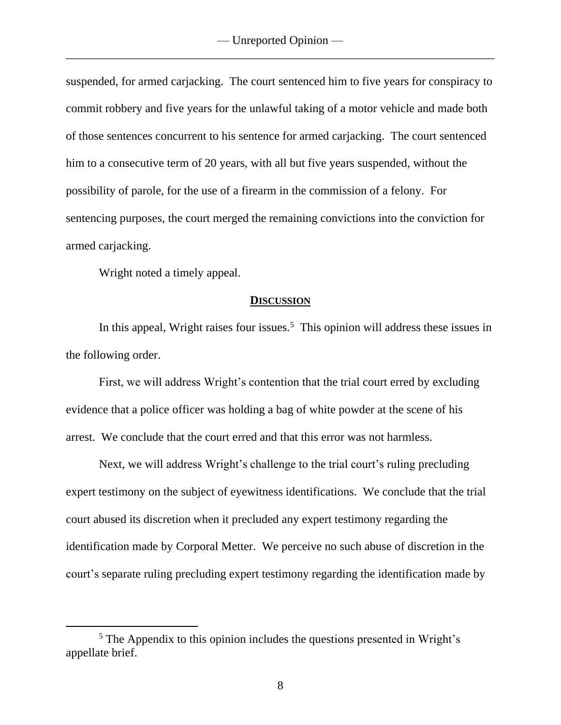suspended, for armed carjacking. The court sentenced him to five years for conspiracy to commit robbery and five years for the unlawful taking of a motor vehicle and made both of those sentences concurrent to his sentence for armed carjacking. The court sentenced him to a consecutive term of 20 years, with all but five years suspended, without the possibility of parole, for the use of a firearm in the commission of a felony. For sentencing purposes, the court merged the remaining convictions into the conviction for armed carjacking.

Wright noted a timely appeal.

#### **DISCUSSION**

In this appeal, Wright raises four issues.<sup>5</sup> This opinion will address these issues in the following order.

First, we will address Wright's contention that the trial court erred by excluding evidence that a police officer was holding a bag of white powder at the scene of his arrest. We conclude that the court erred and that this error was not harmless.

Next, we will address Wright's challenge to the trial court's ruling precluding expert testimony on the subject of eyewitness identifications. We conclude that the trial court abused its discretion when it precluded any expert testimony regarding the identification made by Corporal Metter. We perceive no such abuse of discretion in the court's separate ruling precluding expert testimony regarding the identification made by

<sup>5</sup> The Appendix to this opinion includes the questions presented in Wright's appellate brief.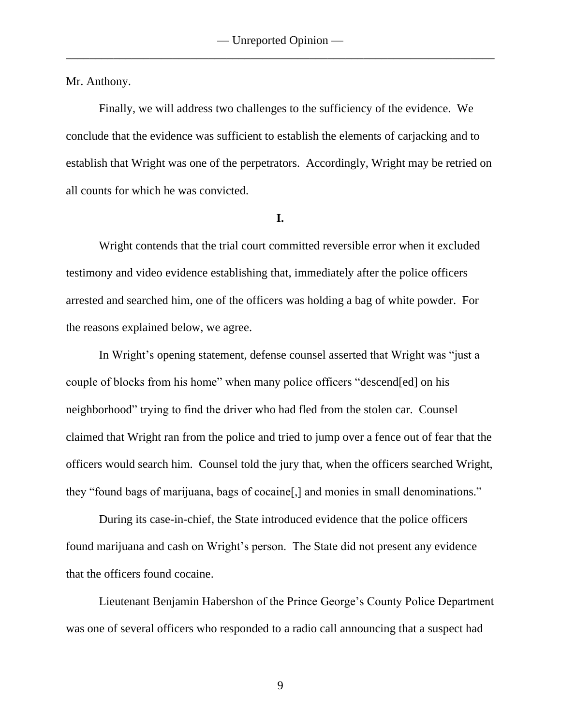Mr. Anthony.

Finally, we will address two challenges to the sufficiency of the evidence. We conclude that the evidence was sufficient to establish the elements of carjacking and to establish that Wright was one of the perpetrators. Accordingly, Wright may be retried on all counts for which he was convicted.

**I.**

Wright contends that the trial court committed reversible error when it excluded testimony and video evidence establishing that, immediately after the police officers arrested and searched him, one of the officers was holding a bag of white powder. For the reasons explained below, we agree.

In Wright's opening statement, defense counsel asserted that Wright was "just a couple of blocks from his home" when many police officers "descend[ed] on his neighborhood" trying to find the driver who had fled from the stolen car. Counsel claimed that Wright ran from the police and tried to jump over a fence out of fear that the officers would search him. Counsel told the jury that, when the officers searched Wright, they "found bags of marijuana, bags of cocaine[,] and monies in small denominations."

During its case-in-chief, the State introduced evidence that the police officers found marijuana and cash on Wright's person. The State did not present any evidence that the officers found cocaine.

Lieutenant Benjamin Habershon of the Prince George's County Police Department was one of several officers who responded to a radio call announcing that a suspect had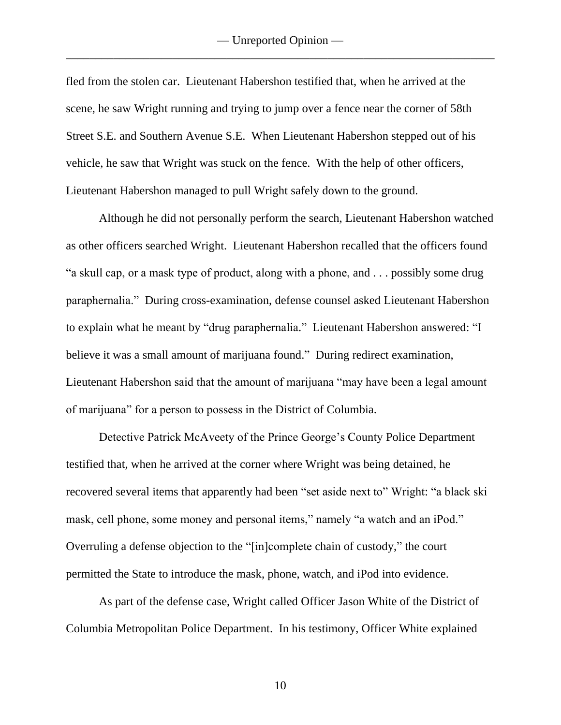fled from the stolen car. Lieutenant Habershon testified that, when he arrived at the scene, he saw Wright running and trying to jump over a fence near the corner of 58th Street S.E. and Southern Avenue S.E. When Lieutenant Habershon stepped out of his vehicle, he saw that Wright was stuck on the fence. With the help of other officers, Lieutenant Habershon managed to pull Wright safely down to the ground.

Although he did not personally perform the search, Lieutenant Habershon watched as other officers searched Wright. Lieutenant Habershon recalled that the officers found "a skull cap, or a mask type of product, along with a phone, and . . . possibly some drug paraphernalia." During cross-examination, defense counsel asked Lieutenant Habershon to explain what he meant by "drug paraphernalia." Lieutenant Habershon answered: "I believe it was a small amount of marijuana found." During redirect examination, Lieutenant Habershon said that the amount of marijuana "may have been a legal amount of marijuana" for a person to possess in the District of Columbia.

Detective Patrick McAveety of the Prince George's County Police Department testified that, when he arrived at the corner where Wright was being detained, he recovered several items that apparently had been "set aside next to" Wright: "a black ski mask, cell phone, some money and personal items," namely "a watch and an iPod." Overruling a defense objection to the "[in]complete chain of custody," the court permitted the State to introduce the mask, phone, watch, and iPod into evidence.

As part of the defense case, Wright called Officer Jason White of the District of Columbia Metropolitan Police Department. In his testimony, Officer White explained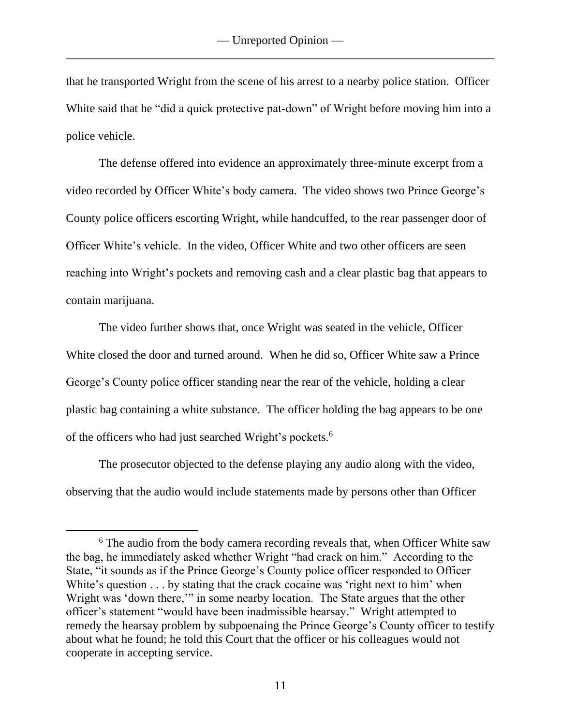that he transported Wright from the scene of his arrest to a nearby police station. Officer White said that he "did a quick protective pat-down" of Wright before moving him into a police vehicle.

The defense offered into evidence an approximately three-minute excerpt from a video recorded by Officer White's body camera. The video shows two Prince George's County police officers escorting Wright, while handcuffed, to the rear passenger door of Officer White's vehicle. In the video, Officer White and two other officers are seen reaching into Wright's pockets and removing cash and a clear plastic bag that appears to contain marijuana.

The video further shows that, once Wright was seated in the vehicle, Officer White closed the door and turned around. When he did so, Officer White saw a Prince George's County police officer standing near the rear of the vehicle, holding a clear plastic bag containing a white substance. The officer holding the bag appears to be one of the officers who had just searched Wright's pockets.<sup>6</sup>

The prosecutor objected to the defense playing any audio along with the video, observing that the audio would include statements made by persons other than Officer

<sup>&</sup>lt;sup>6</sup> The audio from the body camera recording reveals that, when Officer White saw the bag, he immediately asked whether Wright "had crack on him." According to the State, "it sounds as if the Prince George's County police officer responded to Officer White's question . . . by stating that the crack cocaine was 'right next to him' when Wright was 'down there,'" in some nearby location. The State argues that the other officer's statement "would have been inadmissible hearsay." Wright attempted to remedy the hearsay problem by subpoenaing the Prince George's County officer to testify about what he found; he told this Court that the officer or his colleagues would not cooperate in accepting service.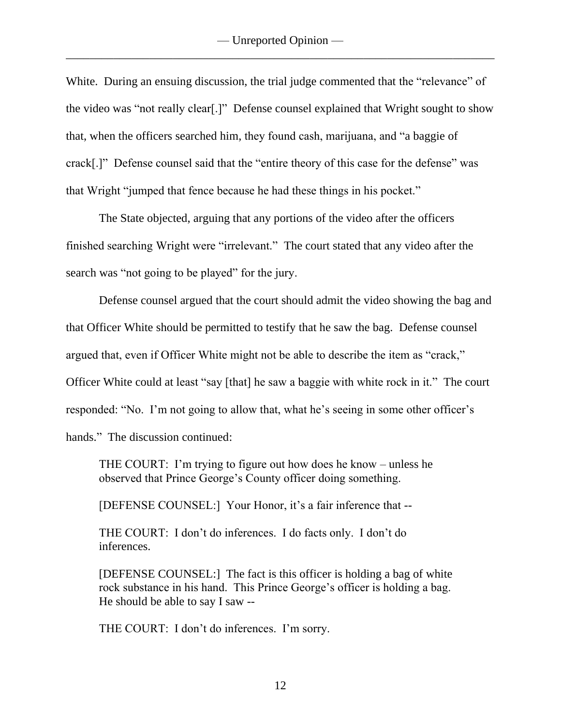White. During an ensuing discussion, the trial judge commented that the "relevance" of the video was "not really clear[.]" Defense counsel explained that Wright sought to show that, when the officers searched him, they found cash, marijuana, and "a baggie of crack[.]" Defense counsel said that the "entire theory of this case for the defense" was that Wright "jumped that fence because he had these things in his pocket."

The State objected, arguing that any portions of the video after the officers finished searching Wright were "irrelevant." The court stated that any video after the search was "not going to be played" for the jury.

Defense counsel argued that the court should admit the video showing the bag and that Officer White should be permitted to testify that he saw the bag. Defense counsel argued that, even if Officer White might not be able to describe the item as "crack," Officer White could at least "say [that] he saw a baggie with white rock in it." The court responded: "No. I'm not going to allow that, what he's seeing in some other officer's hands." The discussion continued:

THE COURT: I'm trying to figure out how does he know – unless he observed that Prince George's County officer doing something.

[DEFENSE COUNSEL:] Your Honor, it's a fair inference that --

THE COURT: I don't do inferences. I do facts only. I don't do inferences.

[DEFENSE COUNSEL:] The fact is this officer is holding a bag of white rock substance in his hand. This Prince George's officer is holding a bag. He should be able to say I saw --

THE COURT: I don't do inferences. I'm sorry.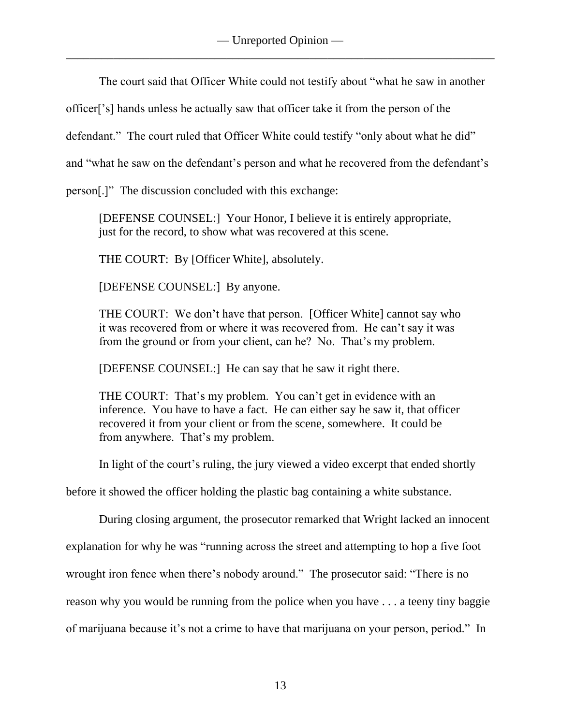The court said that Officer White could not testify about "what he saw in another

officer['s] hands unless he actually saw that officer take it from the person of the

defendant." The court ruled that Officer White could testify "only about what he did"

and "what he saw on the defendant's person and what he recovered from the defendant's

person[.]" The discussion concluded with this exchange:

[DEFENSE COUNSEL:] Your Honor, I believe it is entirely appropriate, just for the record, to show what was recovered at this scene.

THE COURT: By [Officer White], absolutely.

[DEFENSE COUNSEL:] By anyone.

THE COURT: We don't have that person. [Officer White] cannot say who it was recovered from or where it was recovered from. He can't say it was from the ground or from your client, can he? No. That's my problem.

[DEFENSE COUNSEL:] He can say that he saw it right there.

THE COURT: That's my problem. You can't get in evidence with an inference. You have to have a fact. He can either say he saw it, that officer recovered it from your client or from the scene, somewhere. It could be from anywhere. That's my problem.

In light of the court's ruling, the jury viewed a video excerpt that ended shortly

before it showed the officer holding the plastic bag containing a white substance.

During closing argument, the prosecutor remarked that Wright lacked an innocent

explanation for why he was "running across the street and attempting to hop a five foot

wrought iron fence when there's nobody around." The prosecutor said: "There is no

reason why you would be running from the police when you have . . . a teeny tiny baggie

of marijuana because it's not a crime to have that marijuana on your person, period." In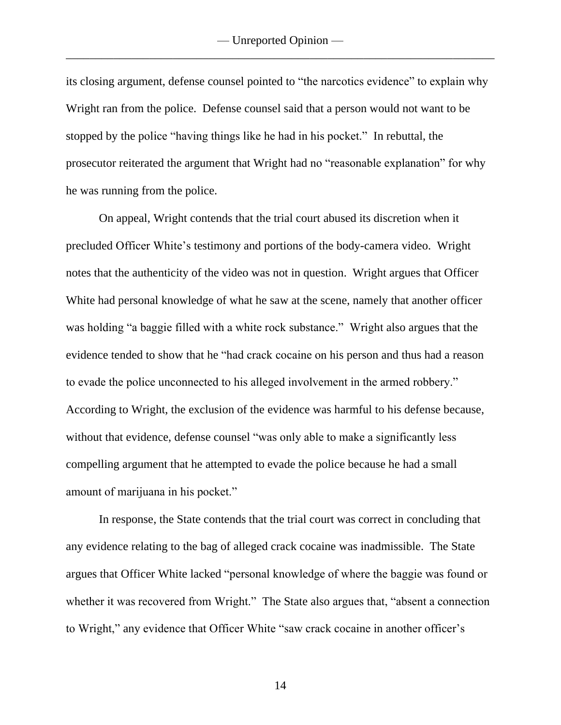its closing argument, defense counsel pointed to "the narcotics evidence" to explain why Wright ran from the police. Defense counsel said that a person would not want to be stopped by the police "having things like he had in his pocket." In rebuttal, the prosecutor reiterated the argument that Wright had no "reasonable explanation" for why he was running from the police.

On appeal, Wright contends that the trial court abused its discretion when it precluded Officer White's testimony and portions of the body-camera video. Wright notes that the authenticity of the video was not in question. Wright argues that Officer White had personal knowledge of what he saw at the scene, namely that another officer was holding "a baggie filled with a white rock substance." Wright also argues that the evidence tended to show that he "had crack cocaine on his person and thus had a reason to evade the police unconnected to his alleged involvement in the armed robbery." According to Wright, the exclusion of the evidence was harmful to his defense because, without that evidence, defense counsel "was only able to make a significantly less compelling argument that he attempted to evade the police because he had a small amount of marijuana in his pocket."

In response, the State contends that the trial court was correct in concluding that any evidence relating to the bag of alleged crack cocaine was inadmissible. The State argues that Officer White lacked "personal knowledge of where the baggie was found or whether it was recovered from Wright." The State also argues that, "absent a connection to Wright," any evidence that Officer White "saw crack cocaine in another officer's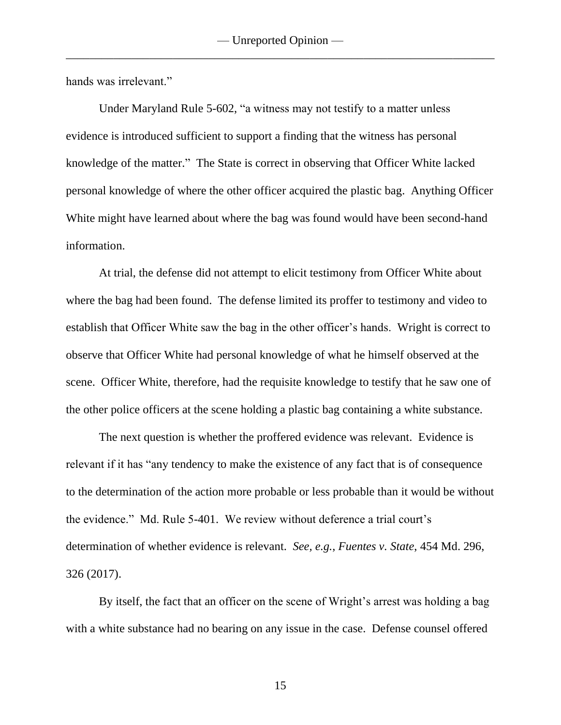hands was irrelevant."

Under Maryland Rule 5-602, "a witness may not testify to a matter unless evidence is introduced sufficient to support a finding that the witness has personal knowledge of the matter." The State is correct in observing that Officer White lacked personal knowledge of where the other officer acquired the plastic bag. Anything Officer White might have learned about where the bag was found would have been second-hand information.

At trial, the defense did not attempt to elicit testimony from Officer White about where the bag had been found. The defense limited its proffer to testimony and video to establish that Officer White saw the bag in the other officer's hands. Wright is correct to observe that Officer White had personal knowledge of what he himself observed at the scene. Officer White, therefore, had the requisite knowledge to testify that he saw one of the other police officers at the scene holding a plastic bag containing a white substance.

The next question is whether the proffered evidence was relevant. Evidence is relevant if it has "any tendency to make the existence of any fact that is of consequence to the determination of the action more probable or less probable than it would be without the evidence." Md. Rule 5-401. We review without deference a trial court's determination of whether evidence is relevant. *See, e.g.*, *Fuentes v. State*, 454 Md. 296, 326 (2017).

By itself, the fact that an officer on the scene of Wright's arrest was holding a bag with a white substance had no bearing on any issue in the case. Defense counsel offered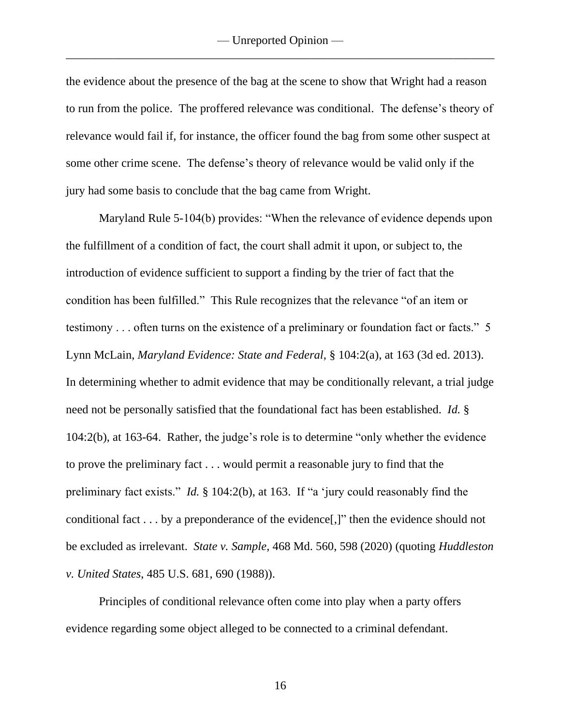the evidence about the presence of the bag at the scene to show that Wright had a reason to run from the police. The proffered relevance was conditional. The defense's theory of relevance would fail if, for instance, the officer found the bag from some other suspect at some other crime scene. The defense's theory of relevance would be valid only if the jury had some basis to conclude that the bag came from Wright.

Maryland Rule 5-104(b) provides: "When the relevance of evidence depends upon the fulfillment of a condition of fact, the court shall admit it upon, or subject to, the introduction of evidence sufficient to support a finding by the trier of fact that the condition has been fulfilled." This Rule recognizes that the relevance "of an item or testimony . . . often turns on the existence of a preliminary or foundation fact or facts." 5 Lynn McLain, *Maryland Evidence: State and Federal*, § 104:2(a), at 163 (3d ed. 2013). In determining whether to admit evidence that may be conditionally relevant, a trial judge need not be personally satisfied that the foundational fact has been established. *Id.* § 104:2(b), at 163-64. Rather, the judge's role is to determine "only whether the evidence to prove the preliminary fact . . . would permit a reasonable jury to find that the preliminary fact exists." *Id.* § 104:2(b), at 163. If "a 'jury could reasonably find the conditional fact . . . by a preponderance of the evidence[,]" then the evidence should not be excluded as irrelevant. *State v. Sample*, 468 Md. 560, 598 (2020) (quoting *Huddleston v. United States*, 485 U.S. 681, 690 (1988)).

Principles of conditional relevance often come into play when a party offers evidence regarding some object alleged to be connected to a criminal defendant.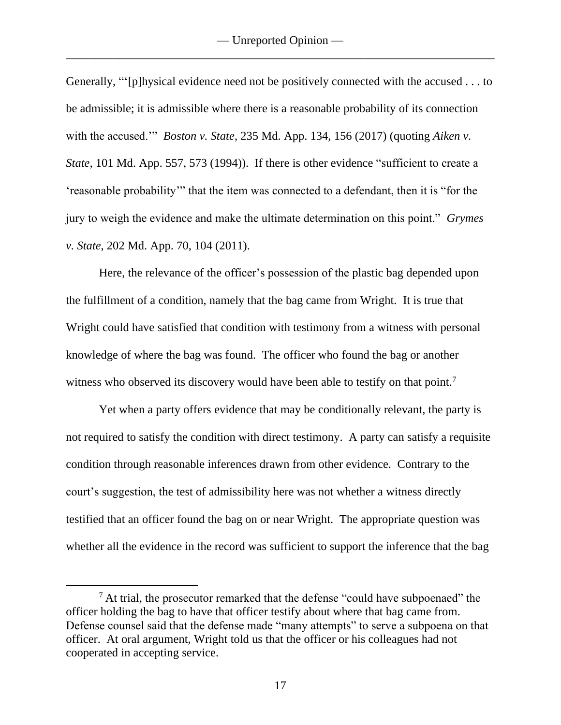Generally, "'[p]hysical evidence need not be positively connected with the accused . . . to be admissible; it is admissible where there is a reasonable probability of its connection with the accused.'" *Boston v. State*, 235 Md. App. 134, 156 (2017) (quoting *Aiken v. State*, 101 Md. App. 557, 573 (1994)). If there is other evidence "sufficient to create a 'reasonable probability'" that the item was connected to a defendant, then it is "for the jury to weigh the evidence and make the ultimate determination on this point." *Grymes v. State*, 202 Md. App. 70, 104 (2011).

Here, the relevance of the officer's possession of the plastic bag depended upon the fulfillment of a condition, namely that the bag came from Wright. It is true that Wright could have satisfied that condition with testimony from a witness with personal knowledge of where the bag was found. The officer who found the bag or another witness who observed its discovery would have been able to testify on that point.<sup>7</sup>

Yet when a party offers evidence that may be conditionally relevant, the party is not required to satisfy the condition with direct testimony. A party can satisfy a requisite condition through reasonable inferences drawn from other evidence. Contrary to the court's suggestion, the test of admissibility here was not whether a witness directly testified that an officer found the bag on or near Wright. The appropriate question was whether all the evidence in the record was sufficient to support the inference that the bag

 $<sup>7</sup>$  At trial, the prosecutor remarked that the defense "could have subpoenaed" the</sup> officer holding the bag to have that officer testify about where that bag came from. Defense counsel said that the defense made "many attempts" to serve a subpoena on that officer. At oral argument, Wright told us that the officer or his colleagues had not cooperated in accepting service.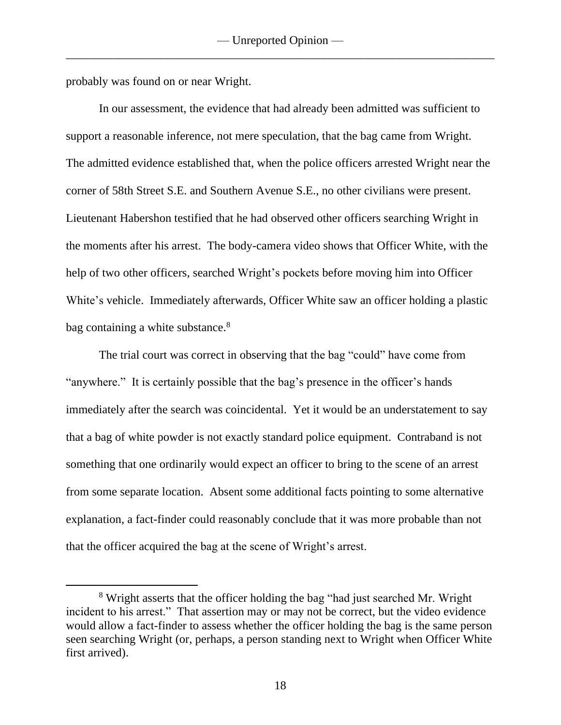probably was found on or near Wright.

In our assessment, the evidence that had already been admitted was sufficient to support a reasonable inference, not mere speculation, that the bag came from Wright. The admitted evidence established that, when the police officers arrested Wright near the corner of 58th Street S.E. and Southern Avenue S.E., no other civilians were present. Lieutenant Habershon testified that he had observed other officers searching Wright in the moments after his arrest. The body-camera video shows that Officer White, with the help of two other officers, searched Wright's pockets before moving him into Officer White's vehicle. Immediately afterwards, Officer White saw an officer holding a plastic bag containing a white substance.<sup>8</sup>

The trial court was correct in observing that the bag "could" have come from "anywhere." It is certainly possible that the bag's presence in the officer's hands immediately after the search was coincidental. Yet it would be an understatement to say that a bag of white powder is not exactly standard police equipment. Contraband is not something that one ordinarily would expect an officer to bring to the scene of an arrest from some separate location. Absent some additional facts pointing to some alternative explanation, a fact-finder could reasonably conclude that it was more probable than not that the officer acquired the bag at the scene of Wright's arrest.

<sup>&</sup>lt;sup>8</sup> Wright asserts that the officer holding the bag "had just searched Mr. Wright incident to his arrest." That assertion may or may not be correct, but the video evidence would allow a fact-finder to assess whether the officer holding the bag is the same person seen searching Wright (or, perhaps, a person standing next to Wright when Officer White first arrived).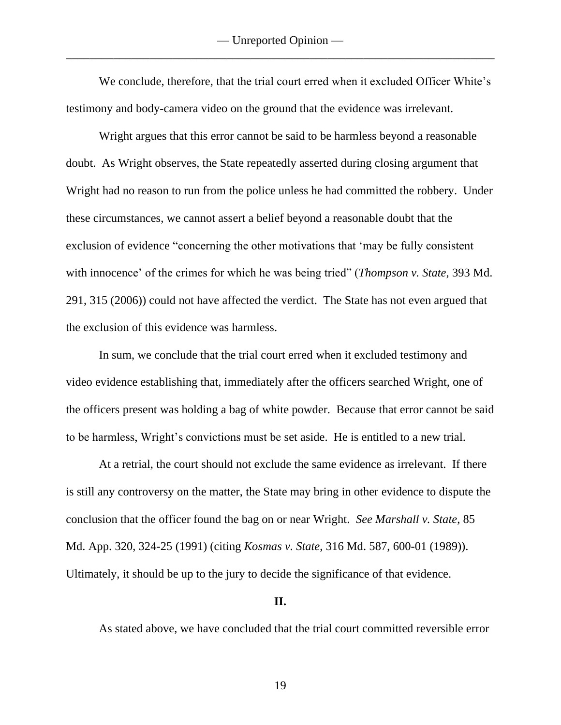We conclude, therefore, that the trial court erred when it excluded Officer White's testimony and body-camera video on the ground that the evidence was irrelevant.

Wright argues that this error cannot be said to be harmless beyond a reasonable doubt. As Wright observes, the State repeatedly asserted during closing argument that Wright had no reason to run from the police unless he had committed the robbery. Under these circumstances, we cannot assert a belief beyond a reasonable doubt that the exclusion of evidence "concerning the other motivations that 'may be fully consistent with innocence' of the crimes for which he was being tried" (*Thompson v. State*, 393 Md. 291, 315 (2006)) could not have affected the verdict. The State has not even argued that the exclusion of this evidence was harmless.

In sum, we conclude that the trial court erred when it excluded testimony and video evidence establishing that, immediately after the officers searched Wright, one of the officers present was holding a bag of white powder. Because that error cannot be said to be harmless, Wright's convictions must be set aside. He is entitled to a new trial.

At a retrial, the court should not exclude the same evidence as irrelevant. If there is still any controversy on the matter, the State may bring in other evidence to dispute the conclusion that the officer found the bag on or near Wright. *See Marshall v. State*, 85 Md. App. 320, 324-25 (1991) (citing *Kosmas v. State*, 316 Md. 587, 600-01 (1989)). Ultimately, it should be up to the jury to decide the significance of that evidence.

#### **II.**

As stated above, we have concluded that the trial court committed reversible error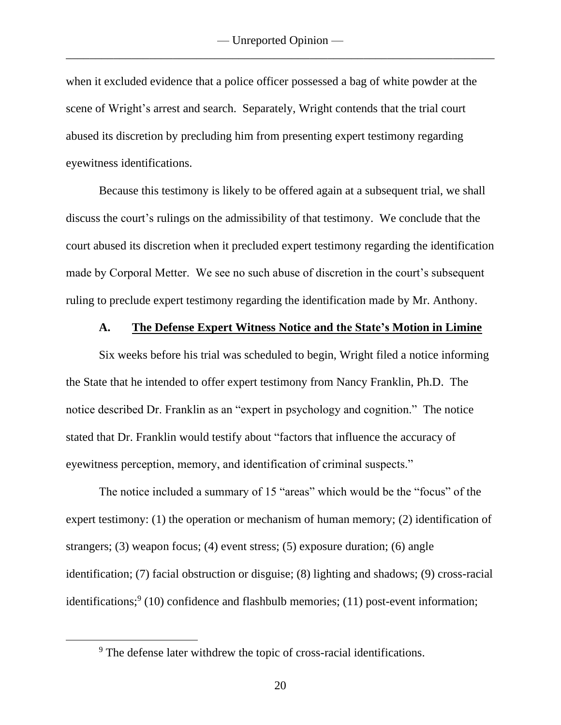when it excluded evidence that a police officer possessed a bag of white powder at the scene of Wright's arrest and search. Separately, Wright contends that the trial court abused its discretion by precluding him from presenting expert testimony regarding eyewitness identifications.

Because this testimony is likely to be offered again at a subsequent trial, we shall discuss the court's rulings on the admissibility of that testimony. We conclude that the court abused its discretion when it precluded expert testimony regarding the identification made by Corporal Metter. We see no such abuse of discretion in the court's subsequent ruling to preclude expert testimony regarding the identification made by Mr. Anthony.

#### **A. The Defense Expert Witness Notice and the State's Motion in Limine**

Six weeks before his trial was scheduled to begin, Wright filed a notice informing the State that he intended to offer expert testimony from Nancy Franklin, Ph.D. The notice described Dr. Franklin as an "expert in psychology and cognition." The notice stated that Dr. Franklin would testify about "factors that influence the accuracy of eyewitness perception, memory, and identification of criminal suspects."

The notice included a summary of 15 "areas" which would be the "focus" of the expert testimony: (1) the operation or mechanism of human memory; (2) identification of strangers; (3) weapon focus; (4) event stress; (5) exposure duration; (6) angle identification; (7) facial obstruction or disguise; (8) lighting and shadows; (9) cross-racial identifications;<sup>9</sup> (10) confidence and flashbulb memories; (11) post-event information;

<sup>9</sup> The defense later withdrew the topic of cross-racial identifications.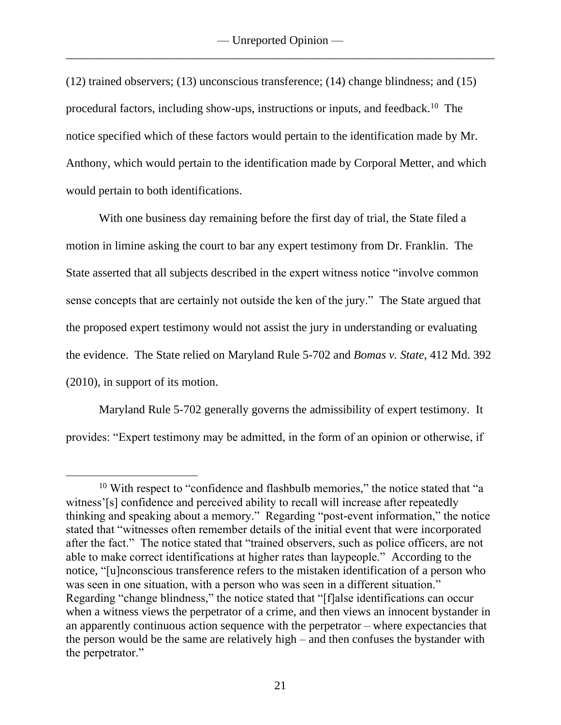(12) trained observers; (13) unconscious transference; (14) change blindness; and (15) procedural factors, including show-ups, instructions or inputs, and feedback.<sup>10</sup> The notice specified which of these factors would pertain to the identification made by Mr. Anthony, which would pertain to the identification made by Corporal Metter, and which would pertain to both identifications.

With one business day remaining before the first day of trial, the State filed a motion in limine asking the court to bar any expert testimony from Dr. Franklin. The State asserted that all subjects described in the expert witness notice "involve common sense concepts that are certainly not outside the ken of the jury." The State argued that the proposed expert testimony would not assist the jury in understanding or evaluating the evidence. The State relied on Maryland Rule 5-702 and *Bomas v. State*, 412 Md. 392 (2010), in support of its motion.

Maryland Rule 5-702 generally governs the admissibility of expert testimony. It provides: "Expert testimony may be admitted, in the form of an opinion or otherwise, if

<sup>&</sup>lt;sup>10</sup> With respect to "confidence and flashbulb memories," the notice stated that "a witness'[s] confidence and perceived ability to recall will increase after repeatedly thinking and speaking about a memory." Regarding "post-event information," the notice stated that "witnesses often remember details of the initial event that were incorporated after the fact." The notice stated that "trained observers, such as police officers, are not able to make correct identifications at higher rates than laypeople." According to the notice, "[u]nconscious transference refers to the mistaken identification of a person who was seen in one situation, with a person who was seen in a different situation." Regarding "change blindness," the notice stated that "[f]alse identifications can occur when a witness views the perpetrator of a crime, and then views an innocent bystander in an apparently continuous action sequence with the perpetrator – where expectancies that the person would be the same are relatively high – and then confuses the bystander with the perpetrator."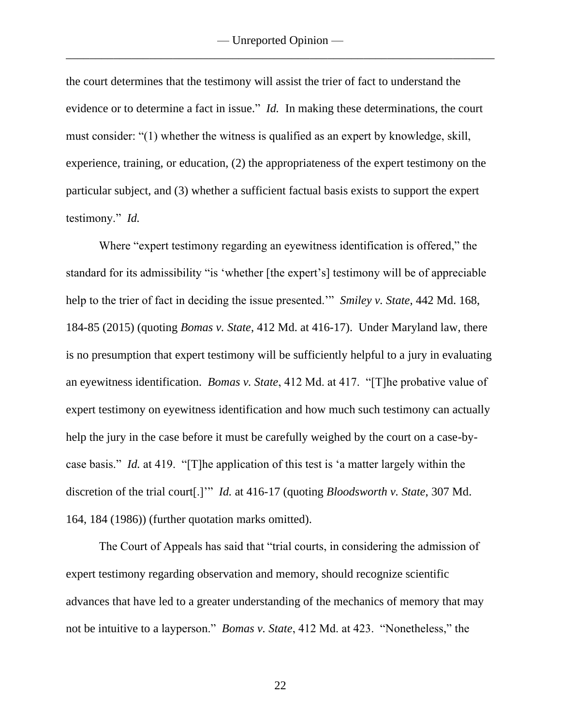the court determines that the testimony will assist the trier of fact to understand the evidence or to determine a fact in issue." *Id.* In making these determinations, the court must consider: "(1) whether the witness is qualified as an expert by knowledge, skill, experience, training, or education, (2) the appropriateness of the expert testimony on the particular subject, and (3) whether a sufficient factual basis exists to support the expert testimony." *Id.*

Where "expert testimony regarding an eyewitness identification is offered," the standard for its admissibility "is 'whether [the expert's] testimony will be of appreciable help to the trier of fact in deciding the issue presented.'" *Smiley v. State*, 442 Md. 168, 184-85 (2015) (quoting *Bomas v. State*, 412 Md. at 416-17). Under Maryland law, there is no presumption that expert testimony will be sufficiently helpful to a jury in evaluating an eyewitness identification. *Bomas v. State*, 412 Md. at 417. "[T]he probative value of expert testimony on eyewitness identification and how much such testimony can actually help the jury in the case before it must be carefully weighed by the court on a case-bycase basis." *Id.* at 419. "[T]he application of this test is 'a matter largely within the discretion of the trial court[.]'" *Id.* at 416-17 (quoting *Bloodsworth v. State*, 307 Md. 164, 184 (1986)) (further quotation marks omitted).

The Court of Appeals has said that "trial courts, in considering the admission of expert testimony regarding observation and memory, should recognize scientific advances that have led to a greater understanding of the mechanics of memory that may not be intuitive to a layperson." *Bomas v. State*, 412 Md. at 423. "Nonetheless," the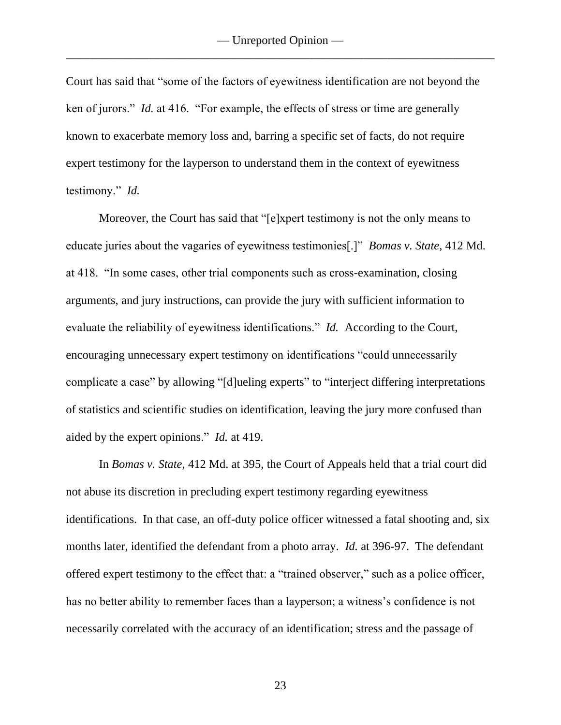Court has said that "some of the factors of eyewitness identification are not beyond the ken of jurors." *Id.* at 416. "For example, the effects of stress or time are generally known to exacerbate memory loss and, barring a specific set of facts, do not require expert testimony for the layperson to understand them in the context of eyewitness testimony." *Id.*

Moreover, the Court has said that "[e]xpert testimony is not the only means to educate juries about the vagaries of eyewitness testimonies[.]" *Bomas v. State*, 412 Md. at 418. "In some cases, other trial components such as cross-examination, closing arguments, and jury instructions, can provide the jury with sufficient information to evaluate the reliability of eyewitness identifications." *Id.* According to the Court, encouraging unnecessary expert testimony on identifications "could unnecessarily complicate a case" by allowing "[d]ueling experts" to "interject differing interpretations of statistics and scientific studies on identification, leaving the jury more confused than aided by the expert opinions." *Id.* at 419.

In *Bomas v. State*, 412 Md. at 395, the Court of Appeals held that a trial court did not abuse its discretion in precluding expert testimony regarding eyewitness identifications. In that case, an off-duty police officer witnessed a fatal shooting and, six months later, identified the defendant from a photo array. *Id.* at 396-97. The defendant offered expert testimony to the effect that: a "trained observer," such as a police officer, has no better ability to remember faces than a layperson; a witness's confidence is not necessarily correlated with the accuracy of an identification; stress and the passage of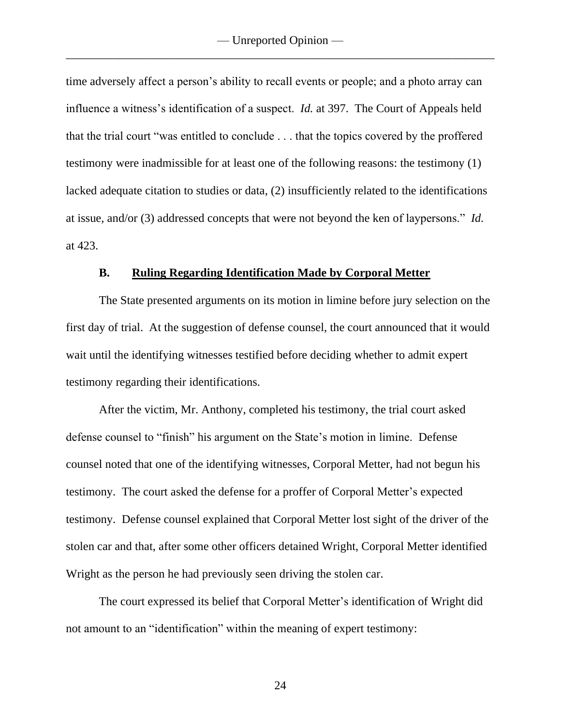time adversely affect a person's ability to recall events or people; and a photo array can influence a witness's identification of a suspect. *Id.* at 397. The Court of Appeals held that the trial court "was entitled to conclude . . . that the topics covered by the proffered testimony were inadmissible for at least one of the following reasons: the testimony (1) lacked adequate citation to studies or data, (2) insufficiently related to the identifications at issue, and/or (3) addressed concepts that were not beyond the ken of laypersons." *Id.* at 423.

#### **B. Ruling Regarding Identification Made by Corporal Metter**

The State presented arguments on its motion in limine before jury selection on the first day of trial. At the suggestion of defense counsel, the court announced that it would wait until the identifying witnesses testified before deciding whether to admit expert testimony regarding their identifications.

After the victim, Mr. Anthony, completed his testimony, the trial court asked defense counsel to "finish" his argument on the State's motion in limine. Defense counsel noted that one of the identifying witnesses, Corporal Metter, had not begun his testimony. The court asked the defense for a proffer of Corporal Metter's expected testimony. Defense counsel explained that Corporal Metter lost sight of the driver of the stolen car and that, after some other officers detained Wright, Corporal Metter identified Wright as the person he had previously seen driving the stolen car.

The court expressed its belief that Corporal Metter's identification of Wright did not amount to an "identification" within the meaning of expert testimony: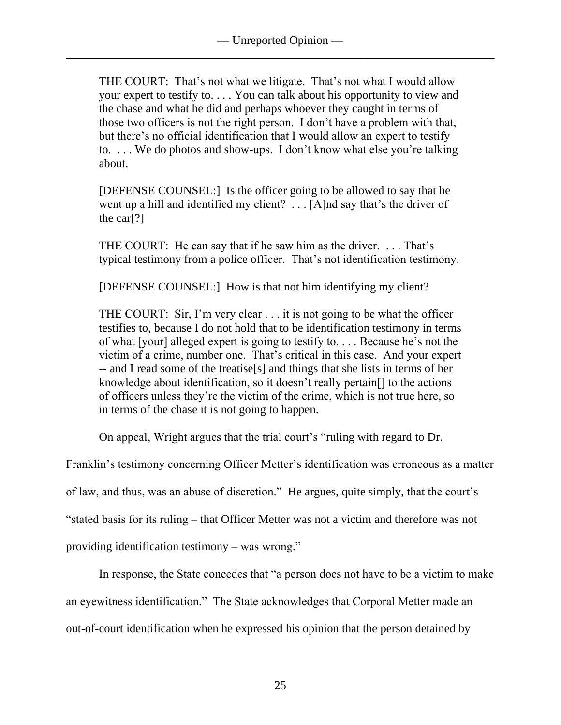THE COURT: That's not what we litigate. That's not what I would allow your expert to testify to. . . . You can talk about his opportunity to view and the chase and what he did and perhaps whoever they caught in terms of those two officers is not the right person. I don't have a problem with that, but there's no official identification that I would allow an expert to testify to. . . . We do photos and show-ups. I don't know what else you're talking about.

[DEFENSE COUNSEL:] Is the officer going to be allowed to say that he went up a hill and identified my client? . . . [A]nd say that's the driver of the car[?]

THE COURT: He can say that if he saw him as the driver. . . . That's typical testimony from a police officer. That's not identification testimony.

[DEFENSE COUNSEL:] How is that not him identifying my client?

THE COURT: Sir, I'm very clear . . . it is not going to be what the officer testifies to, because I do not hold that to be identification testimony in terms of what [your] alleged expert is going to testify to. . . . Because he's not the victim of a crime, number one. That's critical in this case. And your expert -- and I read some of the treatise[s] and things that she lists in terms of her knowledge about identification, so it doesn't really pertain[] to the actions of officers unless they're the victim of the crime, which is not true here, so in terms of the chase it is not going to happen.

On appeal, Wright argues that the trial court's "ruling with regard to Dr.

Franklin's testimony concerning Officer Metter's identification was erroneous as a matter

of law, and thus, was an abuse of discretion." He argues, quite simply, that the court's

"stated basis for its ruling – that Officer Metter was not a victim and therefore was not

providing identification testimony – was wrong."

In response, the State concedes that "a person does not have to be a victim to make an eyewitness identification." The State acknowledges that Corporal Metter made an out-of-court identification when he expressed his opinion that the person detained by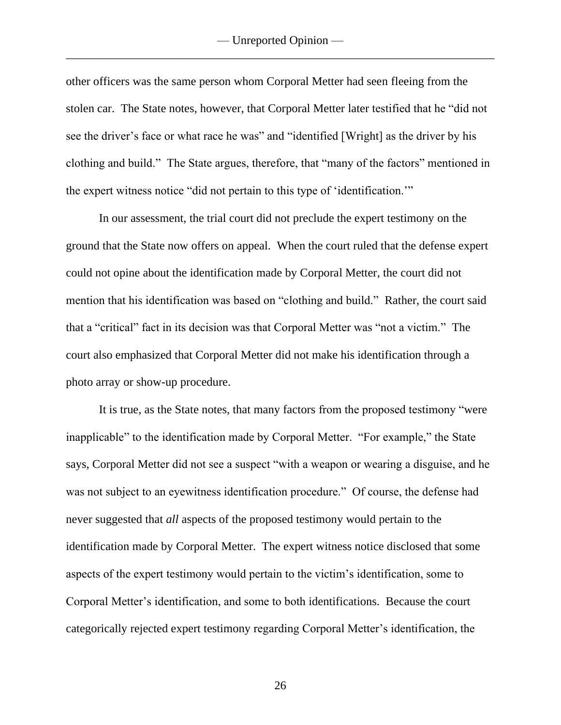other officers was the same person whom Corporal Metter had seen fleeing from the stolen car. The State notes, however, that Corporal Metter later testified that he "did not see the driver's face or what race he was" and "identified [Wright] as the driver by his clothing and build." The State argues, therefore, that "many of the factors" mentioned in the expert witness notice "did not pertain to this type of 'identification.'"

In our assessment, the trial court did not preclude the expert testimony on the ground that the State now offers on appeal. When the court ruled that the defense expert could not opine about the identification made by Corporal Metter, the court did not mention that his identification was based on "clothing and build." Rather, the court said that a "critical" fact in its decision was that Corporal Metter was "not a victim." The court also emphasized that Corporal Metter did not make his identification through a photo array or show-up procedure.

It is true, as the State notes, that many factors from the proposed testimony "were inapplicable" to the identification made by Corporal Metter. "For example," the State says, Corporal Metter did not see a suspect "with a weapon or wearing a disguise, and he was not subject to an eyewitness identification procedure." Of course, the defense had never suggested that *all* aspects of the proposed testimony would pertain to the identification made by Corporal Metter. The expert witness notice disclosed that some aspects of the expert testimony would pertain to the victim's identification, some to Corporal Metter's identification, and some to both identifications. Because the court categorically rejected expert testimony regarding Corporal Metter's identification, the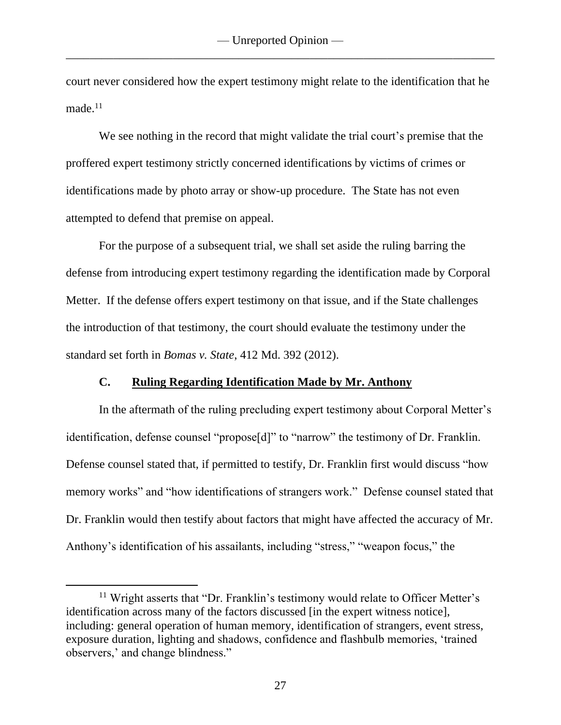court never considered how the expert testimony might relate to the identification that he made.<sup>11</sup>

We see nothing in the record that might validate the trial court's premise that the proffered expert testimony strictly concerned identifications by victims of crimes or identifications made by photo array or show-up procedure. The State has not even attempted to defend that premise on appeal.

For the purpose of a subsequent trial, we shall set aside the ruling barring the defense from introducing expert testimony regarding the identification made by Corporal Metter. If the defense offers expert testimony on that issue, and if the State challenges the introduction of that testimony, the court should evaluate the testimony under the standard set forth in *Bomas v. State*, 412 Md. 392 (2012).

### **C. Ruling Regarding Identification Made by Mr. Anthony**

In the aftermath of the ruling precluding expert testimony about Corporal Metter's identification, defense counsel "propose[d]" to "narrow" the testimony of Dr. Franklin. Defense counsel stated that, if permitted to testify, Dr. Franklin first would discuss "how memory works" and "how identifications of strangers work." Defense counsel stated that Dr. Franklin would then testify about factors that might have affected the accuracy of Mr. Anthony's identification of his assailants, including "stress," "weapon focus," the

 $11$  Wright asserts that "Dr. Franklin's testimony would relate to Officer Metter's identification across many of the factors discussed [in the expert witness notice], including: general operation of human memory, identification of strangers, event stress, exposure duration, lighting and shadows, confidence and flashbulb memories, 'trained observers,' and change blindness."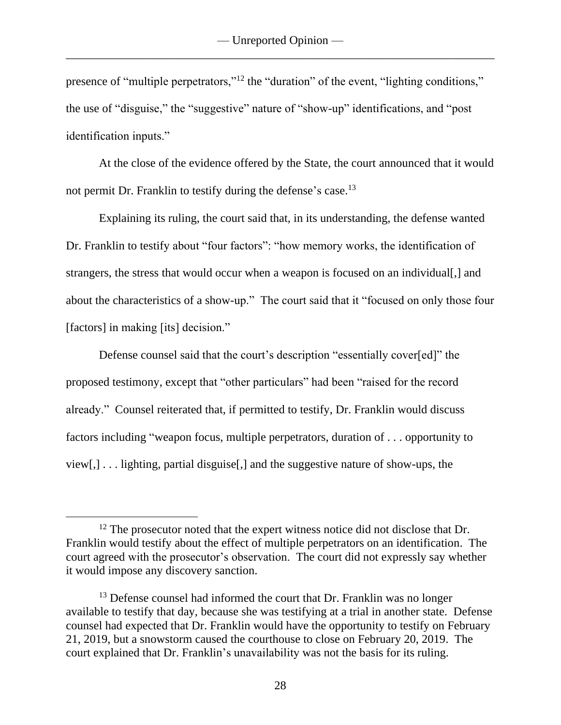presence of "multiple perpetrators,"<sup>12</sup> the "duration" of the event, "lighting conditions," the use of "disguise," the "suggestive" nature of "show-up" identifications, and "post identification inputs."

At the close of the evidence offered by the State, the court announced that it would not permit Dr. Franklin to testify during the defense's case.<sup>13</sup>

Explaining its ruling, the court said that, in its understanding, the defense wanted Dr. Franklin to testify about "four factors": "how memory works, the identification of strangers, the stress that would occur when a weapon is focused on an individual[,] and about the characteristics of a show-up." The court said that it "focused on only those four [factors] in making [its] decision."

Defense counsel said that the court's description "essentially cover[ed]" the proposed testimony, except that "other particulars" had been "raised for the record already." Counsel reiterated that, if permitted to testify, Dr. Franklin would discuss factors including "weapon focus, multiple perpetrators, duration of . . . opportunity to view[,] . . . lighting, partial disguise[,] and the suggestive nature of show-ups, the

<sup>&</sup>lt;sup>12</sup> The prosecutor noted that the expert witness notice did not disclose that Dr. Franklin would testify about the effect of multiple perpetrators on an identification. The court agreed with the prosecutor's observation. The court did not expressly say whether it would impose any discovery sanction.

 $13$  Defense counsel had informed the court that Dr. Franklin was no longer available to testify that day, because she was testifying at a trial in another state. Defense counsel had expected that Dr. Franklin would have the opportunity to testify on February 21, 2019, but a snowstorm caused the courthouse to close on February 20, 2019. The court explained that Dr. Franklin's unavailability was not the basis for its ruling.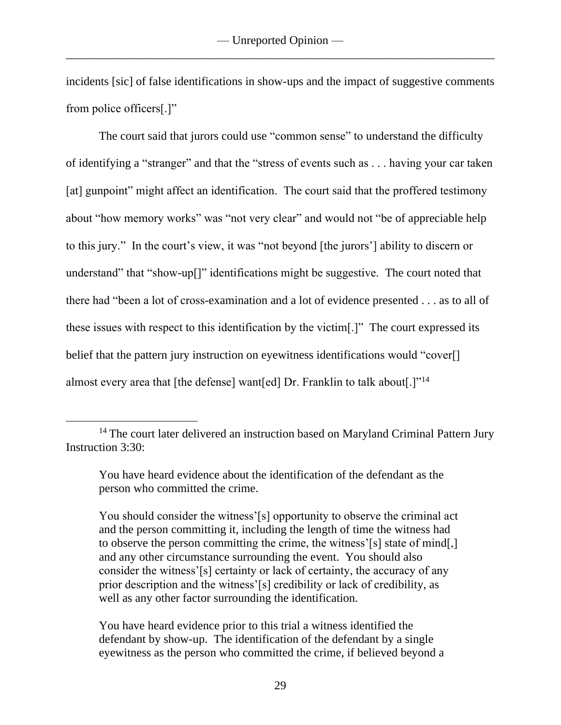incidents [sic] of false identifications in show-ups and the impact of suggestive comments from police officers[.]"

The court said that jurors could use "common sense" to understand the difficulty of identifying a "stranger" and that the "stress of events such as . . . having your car taken [at] gunpoint" might affect an identification. The court said that the proffered testimony about "how memory works" was "not very clear" and would not "be of appreciable help to this jury." In the court's view, it was "not beyond [the jurors'] ability to discern or understand" that "show-up<sup>[]"</sup> identifications might be suggestive. The court noted that there had "been a lot of cross-examination and a lot of evidence presented . . . as to all of these issues with respect to this identification by the victim[.]" The court expressed its belief that the pattern jury instruction on eyewitness identifications would "cover. almost every area that [the defense] want[ed] Dr. Franklin to talk about[.]"<sup>14</sup>

You should consider the witness'[s] opportunity to observe the criminal act and the person committing it, including the length of time the witness had to observe the person committing the crime, the witness'[s] state of mind[,] and any other circumstance surrounding the event. You should also consider the witness'[s] certainty or lack of certainty, the accuracy of any prior description and the witness'[s] credibility or lack of credibility, as well as any other factor surrounding the identification.

You have heard evidence prior to this trial a witness identified the defendant by show-up. The identification of the defendant by a single eyewitness as the person who committed the crime, if believed beyond a

<sup>&</sup>lt;sup>14</sup> The court later delivered an instruction based on Maryland Criminal Pattern Jury Instruction 3:30:

You have heard evidence about the identification of the defendant as the person who committed the crime.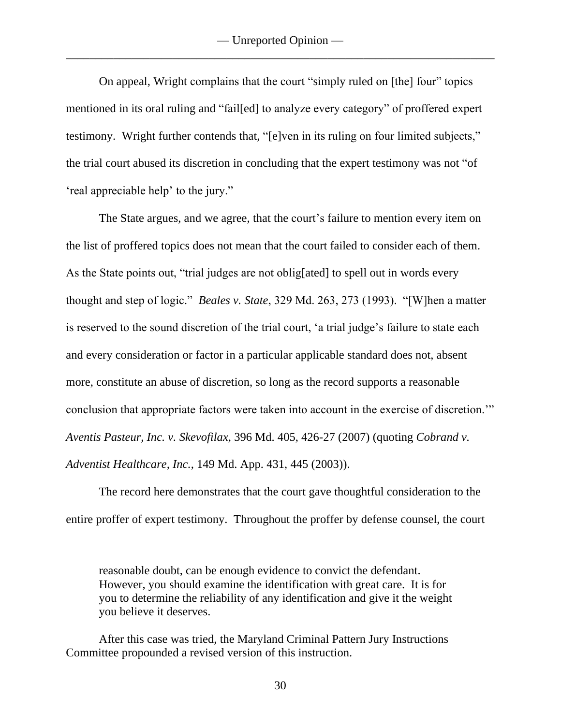On appeal, Wright complains that the court "simply ruled on [the] four" topics mentioned in its oral ruling and "fail[ed] to analyze every category" of proffered expert testimony. Wright further contends that, "[e]ven in its ruling on four limited subjects," the trial court abused its discretion in concluding that the expert testimony was not "of 'real appreciable help' to the jury."

The State argues, and we agree, that the court's failure to mention every item on the list of proffered topics does not mean that the court failed to consider each of them. As the State points out, "trial judges are not oblig[ated] to spell out in words every thought and step of logic." *Beales v. State*, 329 Md. 263, 273 (1993). "[W]hen a matter is reserved to the sound discretion of the trial court, 'a trial judge's failure to state each and every consideration or factor in a particular applicable standard does not, absent more, constitute an abuse of discretion, so long as the record supports a reasonable conclusion that appropriate factors were taken into account in the exercise of discretion.'" *Aventis Pasteur, Inc. v. Skevofilax*, 396 Md. 405, 426-27 (2007) (quoting *Cobrand v. Adventist Healthcare, Inc.*, 149 Md. App. 431, 445 (2003)).

The record here demonstrates that the court gave thoughtful consideration to the entire proffer of expert testimony. Throughout the proffer by defense counsel, the court

reasonable doubt, can be enough evidence to convict the defendant. However, you should examine the identification with great care. It is for you to determine the reliability of any identification and give it the weight you believe it deserves.

After this case was tried, the Maryland Criminal Pattern Jury Instructions Committee propounded a revised version of this instruction.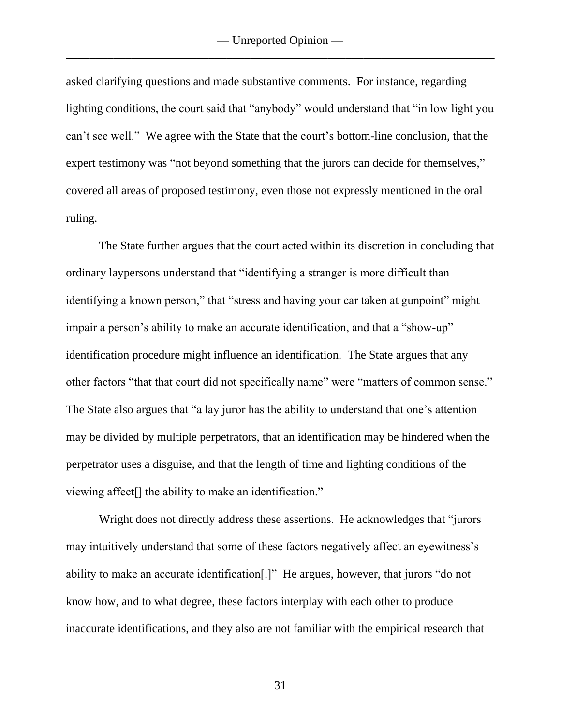asked clarifying questions and made substantive comments. For instance, regarding lighting conditions, the court said that "anybody" would understand that "in low light you can't see well." We agree with the State that the court's bottom-line conclusion, that the expert testimony was "not beyond something that the jurors can decide for themselves," covered all areas of proposed testimony, even those not expressly mentioned in the oral ruling.

The State further argues that the court acted within its discretion in concluding that ordinary laypersons understand that "identifying a stranger is more difficult than identifying a known person," that "stress and having your car taken at gunpoint" might impair a person's ability to make an accurate identification, and that a "show-up" identification procedure might influence an identification. The State argues that any other factors "that that court did not specifically name" were "matters of common sense." The State also argues that "a lay juror has the ability to understand that one's attention may be divided by multiple perpetrators, that an identification may be hindered when the perpetrator uses a disguise, and that the length of time and lighting conditions of the viewing affect[] the ability to make an identification."

Wright does not directly address these assertions. He acknowledges that "jurors may intuitively understand that some of these factors negatively affect an eyewitness's ability to make an accurate identification[.]" He argues, however, that jurors "do not know how, and to what degree, these factors interplay with each other to produce inaccurate identifications, and they also are not familiar with the empirical research that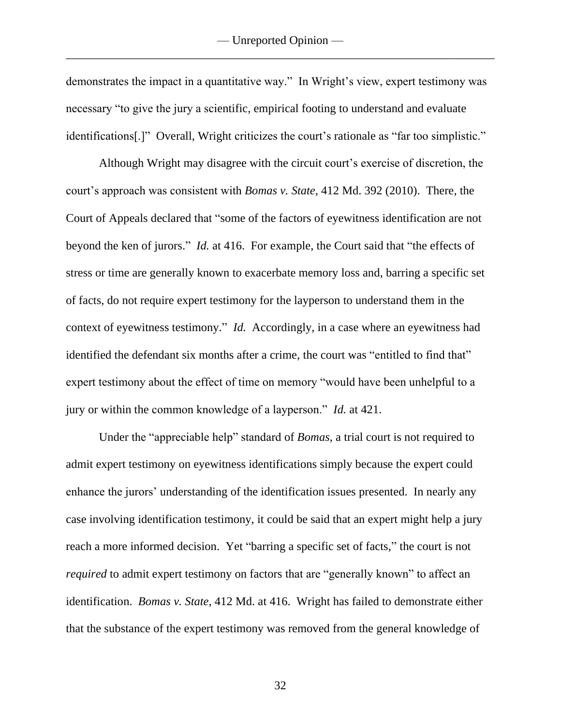demonstrates the impact in a quantitative way." In Wright's view, expert testimony was necessary "to give the jury a scientific, empirical footing to understand and evaluate identifications[.]" Overall, Wright criticizes the court's rationale as "far too simplistic."

Although Wright may disagree with the circuit court's exercise of discretion, the court's approach was consistent with *Bomas v. State*, 412 Md. 392 (2010). There, the Court of Appeals declared that "some of the factors of eyewitness identification are not beyond the ken of jurors." *Id.* at 416. For example, the Court said that "the effects of stress or time are generally known to exacerbate memory loss and, barring a specific set of facts, do not require expert testimony for the layperson to understand them in the context of eyewitness testimony." *Id.* Accordingly, in a case where an eyewitness had identified the defendant six months after a crime, the court was "entitled to find that" expert testimony about the effect of time on memory "would have been unhelpful to a jury or within the common knowledge of a layperson." *Id.* at 421.

Under the "appreciable help" standard of *Bomas*, a trial court is not required to admit expert testimony on eyewitness identifications simply because the expert could enhance the jurors' understanding of the identification issues presented. In nearly any case involving identification testimony, it could be said that an expert might help a jury reach a more informed decision. Yet "barring a specific set of facts," the court is not *required* to admit expert testimony on factors that are "generally known" to affect an identification. *Bomas v. State*, 412 Md. at 416. Wright has failed to demonstrate either that the substance of the expert testimony was removed from the general knowledge of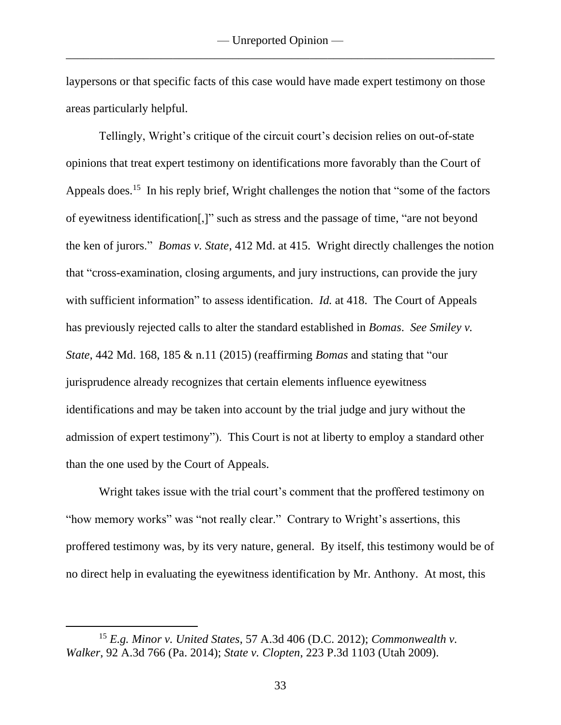laypersons or that specific facts of this case would have made expert testimony on those areas particularly helpful.

Tellingly, Wright's critique of the circuit court's decision relies on out-of-state opinions that treat expert testimony on identifications more favorably than the Court of Appeals does.<sup>15</sup> In his reply brief, Wright challenges the notion that "some of the factors" of eyewitness identification[,]" such as stress and the passage of time, "are not beyond the ken of jurors." *Bomas v. State*, 412 Md. at 415. Wright directly challenges the notion that "cross-examination, closing arguments, and jury instructions, can provide the jury with sufficient information" to assess identification. *Id.* at 418. The Court of Appeals has previously rejected calls to alter the standard established in *Bomas*. *See Smiley v. State*, 442 Md. 168, 185 & n.11 (2015) (reaffirming *Bomas* and stating that "our jurisprudence already recognizes that certain elements influence eyewitness identifications and may be taken into account by the trial judge and jury without the admission of expert testimony"). This Court is not at liberty to employ a standard other than the one used by the Court of Appeals.

Wright takes issue with the trial court's comment that the proffered testimony on "how memory works" was "not really clear." Contrary to Wright's assertions, this proffered testimony was, by its very nature, general. By itself, this testimony would be of no direct help in evaluating the eyewitness identification by Mr. Anthony. At most, this

<sup>15</sup> *E.g. Minor v. United States*, 57 A.3d 406 (D.C. 2012); *Commonwealth v. Walker*, 92 A.3d 766 (Pa. 2014); *State v. Clopten*, 223 P.3d 1103 (Utah 2009).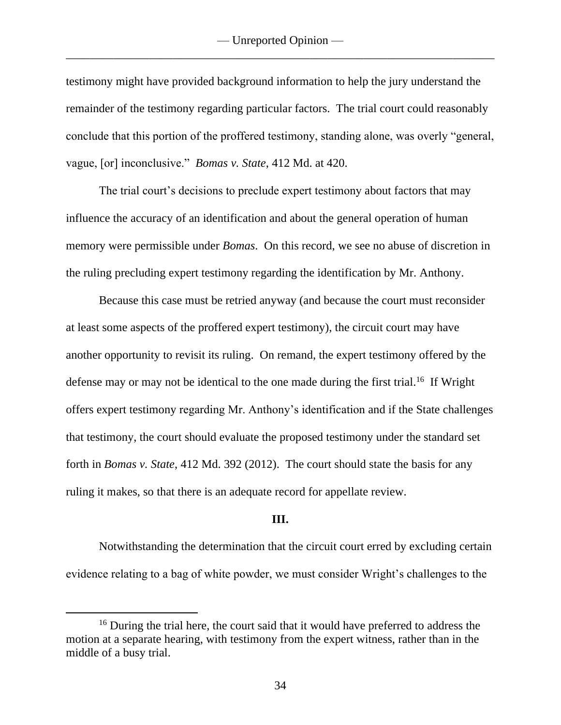testimony might have provided background information to help the jury understand the remainder of the testimony regarding particular factors. The trial court could reasonably conclude that this portion of the proffered testimony, standing alone, was overly "general, vague, [or] inconclusive." *Bomas v. State*, 412 Md. at 420.

The trial court's decisions to preclude expert testimony about factors that may influence the accuracy of an identification and about the general operation of human memory were permissible under *Bomas*. On this record, we see no abuse of discretion in the ruling precluding expert testimony regarding the identification by Mr. Anthony.

Because this case must be retried anyway (and because the court must reconsider at least some aspects of the proffered expert testimony), the circuit court may have another opportunity to revisit its ruling. On remand, the expert testimony offered by the defense may or may not be identical to the one made during the first trial.<sup>16</sup> If Wright offers expert testimony regarding Mr. Anthony's identification and if the State challenges that testimony, the court should evaluate the proposed testimony under the standard set forth in *Bomas v. State*, 412 Md. 392 (2012). The court should state the basis for any ruling it makes, so that there is an adequate record for appellate review.

#### **III.**

Notwithstanding the determination that the circuit court erred by excluding certain evidence relating to a bag of white powder, we must consider Wright's challenges to the

<sup>&</sup>lt;sup>16</sup> During the trial here, the court said that it would have preferred to address the motion at a separate hearing, with testimony from the expert witness, rather than in the middle of a busy trial.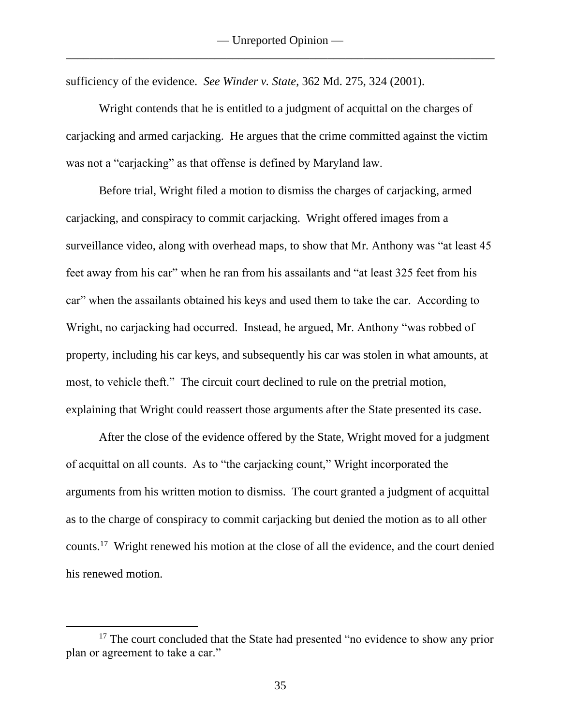sufficiency of the evidence. *See Winder v. State*, 362 Md. 275, 324 (2001).

Wright contends that he is entitled to a judgment of acquittal on the charges of carjacking and armed carjacking. He argues that the crime committed against the victim was not a "carjacking" as that offense is defined by Maryland law.

Before trial, Wright filed a motion to dismiss the charges of carjacking, armed carjacking, and conspiracy to commit carjacking. Wright offered images from a surveillance video, along with overhead maps, to show that Mr. Anthony was "at least 45 feet away from his car" when he ran from his assailants and "at least 325 feet from his car" when the assailants obtained his keys and used them to take the car. According to Wright, no carjacking had occurred. Instead, he argued, Mr. Anthony "was robbed of property, including his car keys, and subsequently his car was stolen in what amounts, at most, to vehicle theft." The circuit court declined to rule on the pretrial motion, explaining that Wright could reassert those arguments after the State presented its case.

After the close of the evidence offered by the State, Wright moved for a judgment of acquittal on all counts. As to "the carjacking count," Wright incorporated the arguments from his written motion to dismiss. The court granted a judgment of acquittal as to the charge of conspiracy to commit carjacking but denied the motion as to all other counts.<sup>17</sup> Wright renewed his motion at the close of all the evidence, and the court denied his renewed motion.

<sup>&</sup>lt;sup>17</sup> The court concluded that the State had presented "no evidence to show any prior plan or agreement to take a car."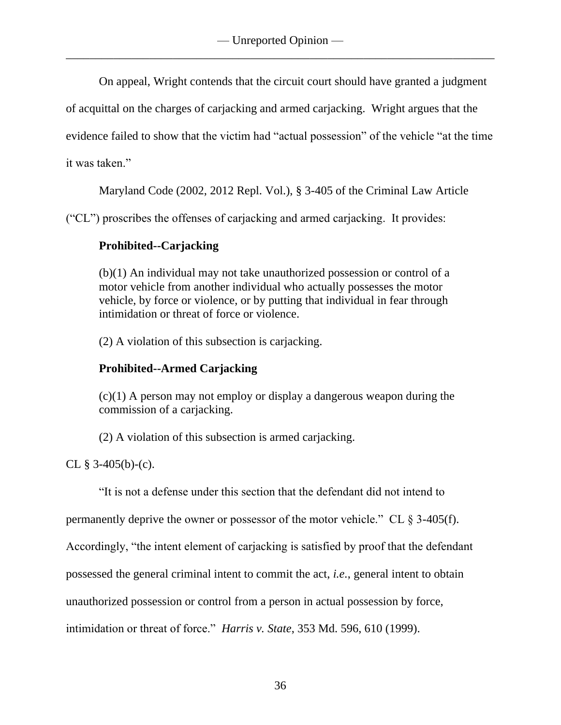On appeal, Wright contends that the circuit court should have granted a judgment

of acquittal on the charges of carjacking and armed carjacking. Wright argues that the

evidence failed to show that the victim had "actual possession" of the vehicle "at the time

it was taken."

Maryland Code (2002, 2012 Repl. Vol.), § 3-405 of the Criminal Law Article

("CL") proscribes the offenses of carjacking and armed carjacking. It provides:

## **Prohibited--Carjacking**

(b)(1) An individual may not take unauthorized possession or control of a motor vehicle from another individual who actually possesses the motor vehicle, by force or violence, or by putting that individual in fear through intimidation or threat of force or violence.

(2) A violation of this subsection is carjacking.

# **Prohibited--Armed Carjacking**

 $(c)(1)$  A person may not employ or display a dangerous weapon during the commission of a carjacking.

(2) A violation of this subsection is armed carjacking.

CL  $§$  3-405(b)-(c).

"It is not a defense under this section that the defendant did not intend to

permanently deprive the owner or possessor of the motor vehicle." CL  $\S$  3-405(f).

Accordingly, "the intent element of carjacking is satisfied by proof that the defendant

possessed the general criminal intent to commit the act, *i.e.*, general intent to obtain

unauthorized possession or control from a person in actual possession by force,

intimidation or threat of force." *Harris v. State*, 353 Md. 596, 610 (1999).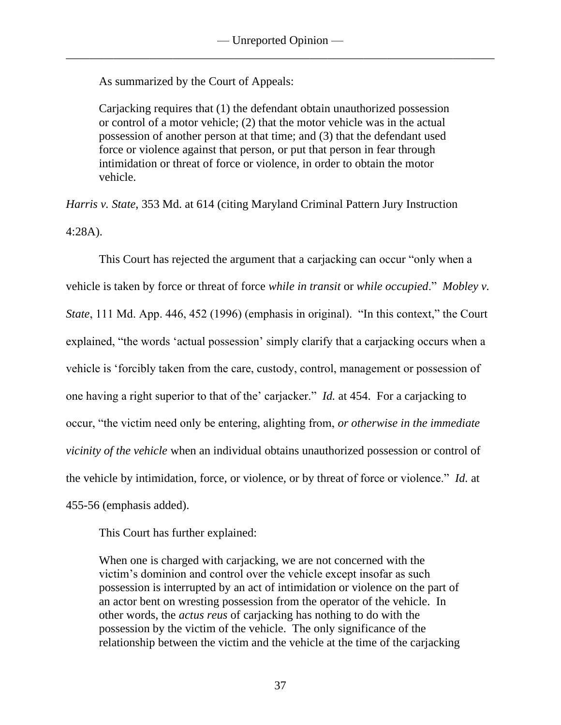As summarized by the Court of Appeals:

Carjacking requires that (1) the defendant obtain unauthorized possession or control of a motor vehicle; (2) that the motor vehicle was in the actual possession of another person at that time; and (3) that the defendant used force or violence against that person, or put that person in fear through intimidation or threat of force or violence, in order to obtain the motor vehicle.

*Harris v. State*, 353 Md. at 614 (citing Maryland Criminal Pattern Jury Instruction 4:28A).

This Court has rejected the argument that a carjacking can occur "only when a vehicle is taken by force or threat of force *while in transit* or *while occupied*." *Mobley v. State*, 111 Md. App. 446, 452 (1996) (emphasis in original). "In this context," the Court explained, "the words 'actual possession' simply clarify that a carjacking occurs when a vehicle is 'forcibly taken from the care, custody, control, management or possession of one having a right superior to that of the' carjacker." *Id.* at 454. For a carjacking to occur, "the victim need only be entering, alighting from, *or otherwise in the immediate vicinity of the vehicle* when an individual obtains unauthorized possession or control of the vehicle by intimidation, force, or violence, or by threat of force or violence." *Id.* at 455-56 (emphasis added).

This Court has further explained:

When one is charged with carjacking, we are not concerned with the victim's dominion and control over the vehicle except insofar as such possession is interrupted by an act of intimidation or violence on the part of an actor bent on wresting possession from the operator of the vehicle. In other words, the *actus reus* of carjacking has nothing to do with the possession by the victim of the vehicle. The only significance of the relationship between the victim and the vehicle at the time of the carjacking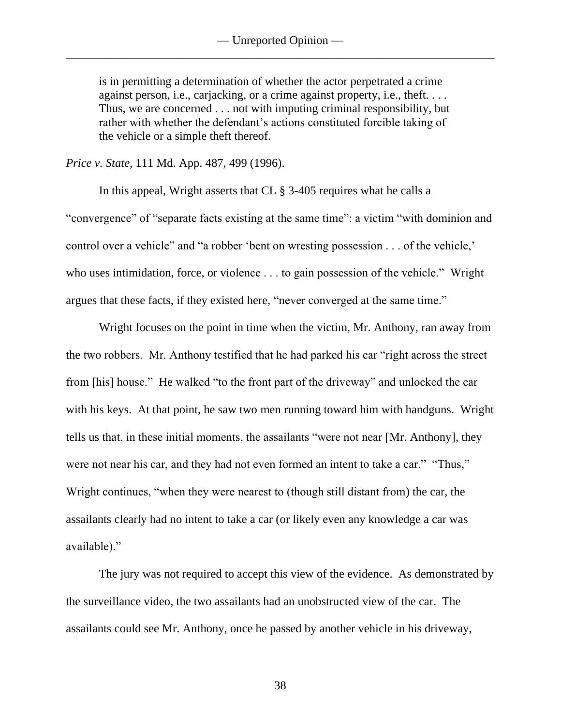is in permitting a determination of whether the actor perpetrated a crime against person, i.e., carjacking, or a crime against property, i.e., theft. . . . Thus, we are concerned . . . not with imputing criminal responsibility, but rather with whether the defendant's actions constituted forcible taking of the vehicle or a simple theft thereof.

*Price v. State*, 111 Md. App. 487, 499 (1996).

In this appeal, Wright asserts that CL § 3-405 requires what he calls a "convergence" of "separate facts existing at the same time": a victim "with dominion and control over a vehicle" and "a robber 'bent on wresting possession . . . of the vehicle,' who uses intimidation, force, or violence . . . to gain possession of the vehicle." Wright argues that these facts, if they existed here, "never converged at the same time."

Wright focuses on the point in time when the victim, Mr. Anthony, ran away from the two robbers. Mr. Anthony testified that he had parked his car "right across the street from [his] house." He walked "to the front part of the driveway" and unlocked the car with his keys. At that point, he saw two men running toward him with handguns. Wright tells us that, in these initial moments, the assailants "were not near [Mr. Anthony], they were not near his car, and they had not even formed an intent to take a car." "Thus," Wright continues, "when they were nearest to (though still distant from) the car, the assailants clearly had no intent to take a car (or likely even any knowledge a car was available)."

The jury was not required to accept this view of the evidence. As demonstrated by the surveillance video, the two assailants had an unobstructed view of the car. The assailants could see Mr. Anthony, once he passed by another vehicle in his driveway,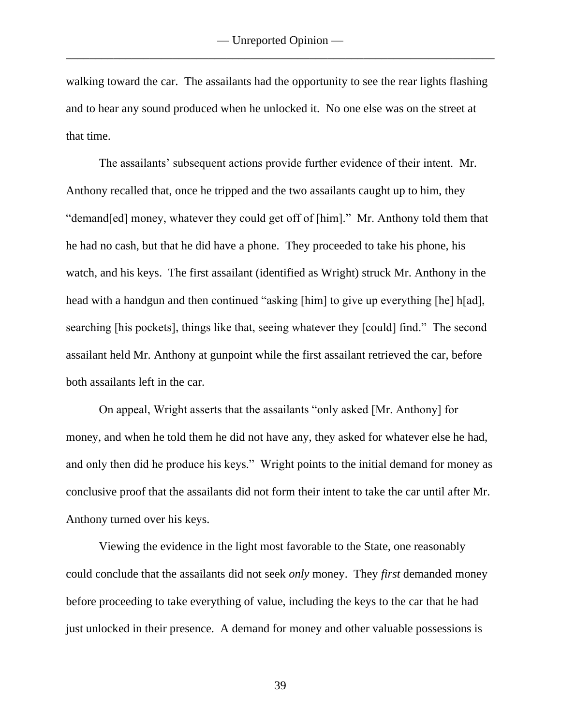walking toward the car. The assailants had the opportunity to see the rear lights flashing and to hear any sound produced when he unlocked it. No one else was on the street at that time.

The assailants' subsequent actions provide further evidence of their intent. Mr. Anthony recalled that, once he tripped and the two assailants caught up to him, they "demand[ed] money, whatever they could get off of [him]." Mr. Anthony told them that he had no cash, but that he did have a phone. They proceeded to take his phone, his watch, and his keys. The first assailant (identified as Wright) struck Mr. Anthony in the head with a handgun and then continued "asking [him] to give up everything [he] h[ad], searching [his pockets], things like that, seeing whatever they [could] find." The second assailant held Mr. Anthony at gunpoint while the first assailant retrieved the car, before both assailants left in the car.

On appeal, Wright asserts that the assailants "only asked [Mr. Anthony] for money, and when he told them he did not have any, they asked for whatever else he had, and only then did he produce his keys." Wright points to the initial demand for money as conclusive proof that the assailants did not form their intent to take the car until after Mr. Anthony turned over his keys.

Viewing the evidence in the light most favorable to the State, one reasonably could conclude that the assailants did not seek *only* money. They *first* demanded money before proceeding to take everything of value, including the keys to the car that he had just unlocked in their presence. A demand for money and other valuable possessions is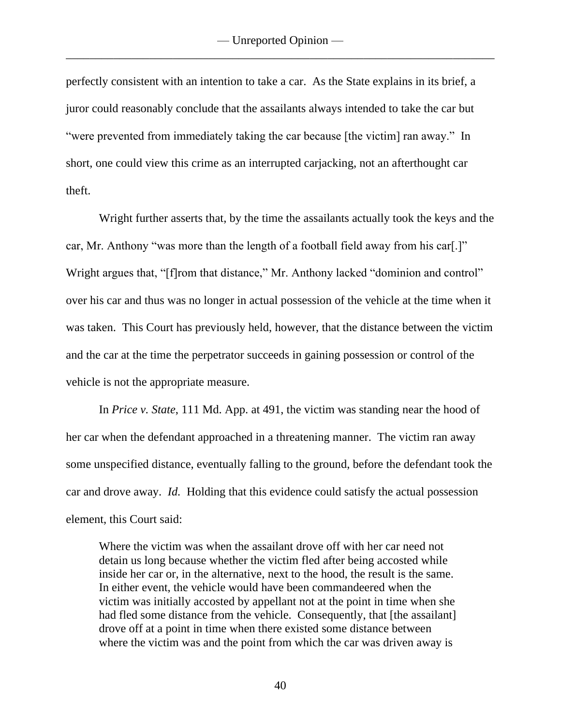perfectly consistent with an intention to take a car. As the State explains in its brief, a juror could reasonably conclude that the assailants always intended to take the car but "were prevented from immediately taking the car because [the victim] ran away." In short, one could view this crime as an interrupted carjacking, not an afterthought car theft.

Wright further asserts that, by the time the assailants actually took the keys and the car, Mr. Anthony "was more than the length of a football field away from his car[.]" Wright argues that, "[f]rom that distance," Mr. Anthony lacked "dominion and control" over his car and thus was no longer in actual possession of the vehicle at the time when it was taken. This Court has previously held, however, that the distance between the victim and the car at the time the perpetrator succeeds in gaining possession or control of the vehicle is not the appropriate measure.

In *Price v. State*, 111 Md. App. at 491, the victim was standing near the hood of her car when the defendant approached in a threatening manner. The victim ran away some unspecified distance, eventually falling to the ground, before the defendant took the car and drove away. *Id.* Holding that this evidence could satisfy the actual possession element, this Court said:

Where the victim was when the assailant drove off with her car need not detain us long because whether the victim fled after being accosted while inside her car or, in the alternative, next to the hood, the result is the same. In either event, the vehicle would have been commandeered when the victim was initially accosted by appellant not at the point in time when she had fled some distance from the vehicle. Consequently, that [the assailant] drove off at a point in time when there existed some distance between where the victim was and the point from which the car was driven away is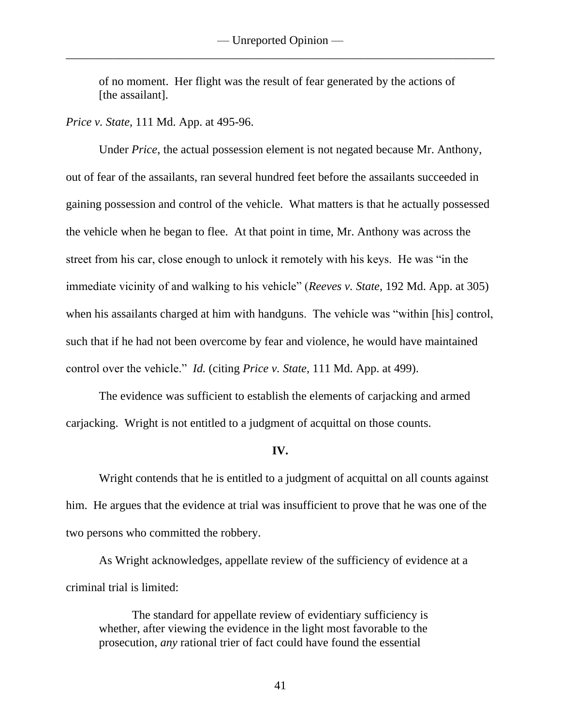of no moment. Her flight was the result of fear generated by the actions of [the assailant].

*Price v. State*, 111 Md. App. at 495-96.

Under *Price*, the actual possession element is not negated because Mr. Anthony, out of fear of the assailants, ran several hundred feet before the assailants succeeded in gaining possession and control of the vehicle. What matters is that he actually possessed the vehicle when he began to flee. At that point in time, Mr. Anthony was across the street from his car, close enough to unlock it remotely with his keys. He was "in the immediate vicinity of and walking to his vehicle" (*Reeves v. State*, 192 Md. App. at 305) when his assailants charged at him with handguns. The vehicle was "within [his] control, such that if he had not been overcome by fear and violence, he would have maintained control over the vehicle." *Id.* (citing *Price v. State*, 111 Md. App. at 499).

The evidence was sufficient to establish the elements of carjacking and armed carjacking. Wright is not entitled to a judgment of acquittal on those counts.

#### **IV.**

Wright contends that he is entitled to a judgment of acquittal on all counts against him. He argues that the evidence at trial was insufficient to prove that he was one of the two persons who committed the robbery.

As Wright acknowledges, appellate review of the sufficiency of evidence at a criminal trial is limited:

The standard for appellate review of evidentiary sufficiency is whether, after viewing the evidence in the light most favorable to the prosecution, *any* rational trier of fact could have found the essential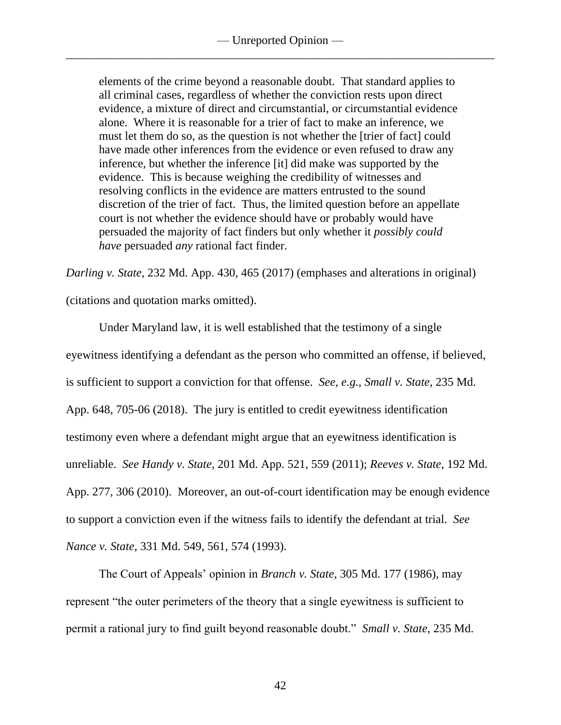elements of the crime beyond a reasonable doubt. That standard applies to all criminal cases, regardless of whether the conviction rests upon direct evidence, a mixture of direct and circumstantial, or circumstantial evidence alone. Where it is reasonable for a trier of fact to make an inference, we must let them do so, as the question is not whether the [trier of fact] could have made other inferences from the evidence or even refused to draw any inference, but whether the inference [it] did make was supported by the evidence. This is because weighing the credibility of witnesses and resolving conflicts in the evidence are matters entrusted to the sound discretion of the trier of fact. Thus, the limited question before an appellate court is not whether the evidence should have or probably would have persuaded the majority of fact finders but only whether it *possibly could have* persuaded *any* rational fact finder.

*Darling v. State*, 232 Md. App. 430, 465 (2017) (emphases and alterations in original)

(citations and quotation marks omitted).

Under Maryland law, it is well established that the testimony of a single eyewitness identifying a defendant as the person who committed an offense, if believed, is sufficient to support a conviction for that offense. *See, e.g.*, *Small v. State*, 235 Md. App. 648, 705-06 (2018). The jury is entitled to credit eyewitness identification testimony even where a defendant might argue that an eyewitness identification is unreliable. *See Handy v. State*, 201 Md. App. 521, 559 (2011); *Reeves v. State*, 192 Md. App. 277, 306 (2010). Moreover, an out-of-court identification may be enough evidence to support a conviction even if the witness fails to identify the defendant at trial. *See Nance v. State*, 331 Md. 549, 561, 574 (1993).

The Court of Appeals' opinion in *Branch v. State*, 305 Md. 177 (1986), may represent "the outer perimeters of the theory that a single eyewitness is sufficient to permit a rational jury to find guilt beyond reasonable doubt." *Small v. State*, 235 Md.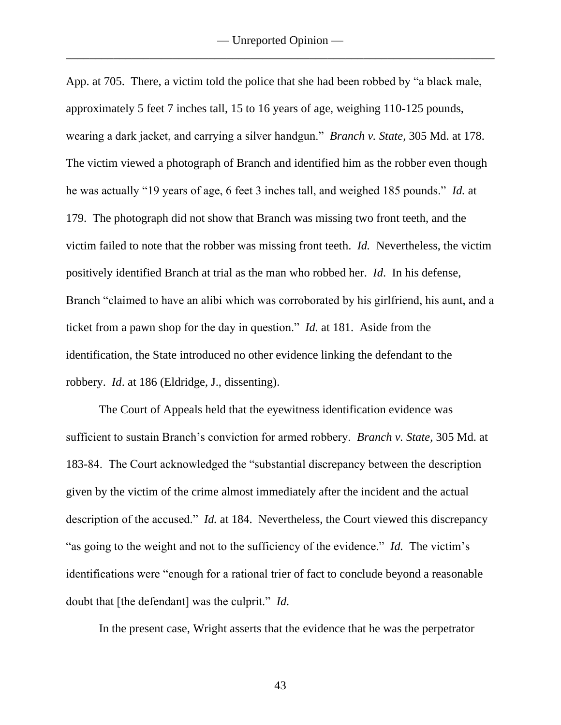App. at 705. There, a victim told the police that she had been robbed by "a black male, approximately 5 feet 7 inches tall, 15 to 16 years of age, weighing 110-125 pounds, wearing a dark jacket, and carrying a silver handgun." *Branch v. State*, 305 Md. at 178. The victim viewed a photograph of Branch and identified him as the robber even though he was actually "19 years of age, 6 feet 3 inches tall, and weighed 185 pounds." *Id.* at 179. The photograph did not show that Branch was missing two front teeth, and the victim failed to note that the robber was missing front teeth. *Id.* Nevertheless, the victim positively identified Branch at trial as the man who robbed her. *Id*. In his defense, Branch "claimed to have an alibi which was corroborated by his girlfriend, his aunt, and a ticket from a pawn shop for the day in question." *Id.* at 181. Aside from the identification, the State introduced no other evidence linking the defendant to the robbery. *Id*. at 186 (Eldridge, J., dissenting).

The Court of Appeals held that the eyewitness identification evidence was sufficient to sustain Branch's conviction for armed robbery. *Branch v. State*, 305 Md. at 183-84. The Court acknowledged the "substantial discrepancy between the description given by the victim of the crime almost immediately after the incident and the actual description of the accused." *Id.* at 184. Nevertheless, the Court viewed this discrepancy "as going to the weight and not to the sufficiency of the evidence." *Id.* The victim's identifications were "enough for a rational trier of fact to conclude beyond a reasonable doubt that [the defendant] was the culprit." *Id.*

In the present case, Wright asserts that the evidence that he was the perpetrator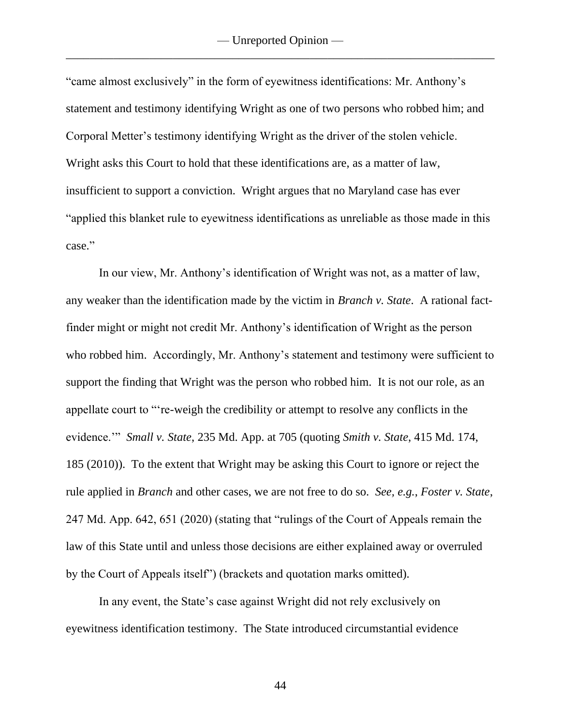"came almost exclusively" in the form of eyewitness identifications: Mr. Anthony's statement and testimony identifying Wright as one of two persons who robbed him; and Corporal Metter's testimony identifying Wright as the driver of the stolen vehicle. Wright asks this Court to hold that these identifications are, as a matter of law, insufficient to support a conviction. Wright argues that no Maryland case has ever "applied this blanket rule to eyewitness identifications as unreliable as those made in this case."

In our view, Mr. Anthony's identification of Wright was not, as a matter of law, any weaker than the identification made by the victim in *Branch v. State*. A rational factfinder might or might not credit Mr. Anthony's identification of Wright as the person who robbed him. Accordingly, Mr. Anthony's statement and testimony were sufficient to support the finding that Wright was the person who robbed him. It is not our role, as an appellate court to "'re-weigh the credibility or attempt to resolve any conflicts in the evidence.'" *Small v. State*, 235 Md. App. at 705 (quoting *Smith v. State*, 415 Md. 174, 185 (2010)). To the extent that Wright may be asking this Court to ignore or reject the rule applied in *Branch* and other cases, we are not free to do so. *See, e.g.*, *Foster v. State*, 247 Md. App. 642, 651 (2020) (stating that "rulings of the Court of Appeals remain the law of this State until and unless those decisions are either explained away or overruled by the Court of Appeals itself") (brackets and quotation marks omitted).

In any event, the State's case against Wright did not rely exclusively on eyewitness identification testimony. The State introduced circumstantial evidence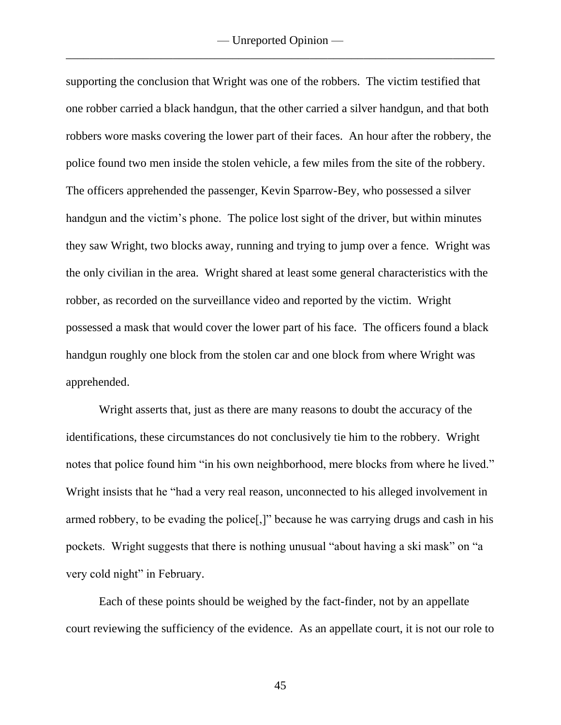supporting the conclusion that Wright was one of the robbers. The victim testified that one robber carried a black handgun, that the other carried a silver handgun, and that both robbers wore masks covering the lower part of their faces. An hour after the robbery, the police found two men inside the stolen vehicle, a few miles from the site of the robbery. The officers apprehended the passenger, Kevin Sparrow-Bey, who possessed a silver handgun and the victim's phone. The police lost sight of the driver, but within minutes they saw Wright, two blocks away, running and trying to jump over a fence. Wright was the only civilian in the area. Wright shared at least some general characteristics with the robber, as recorded on the surveillance video and reported by the victim. Wright possessed a mask that would cover the lower part of his face. The officers found a black handgun roughly one block from the stolen car and one block from where Wright was apprehended.

Wright asserts that, just as there are many reasons to doubt the accuracy of the identifications, these circumstances do not conclusively tie him to the robbery. Wright notes that police found him "in his own neighborhood, mere blocks from where he lived." Wright insists that he "had a very real reason, unconnected to his alleged involvement in armed robbery, to be evading the police[,]" because he was carrying drugs and cash in his pockets. Wright suggests that there is nothing unusual "about having a ski mask" on "a very cold night" in February.

Each of these points should be weighed by the fact-finder, not by an appellate court reviewing the sufficiency of the evidence. As an appellate court, it is not our role to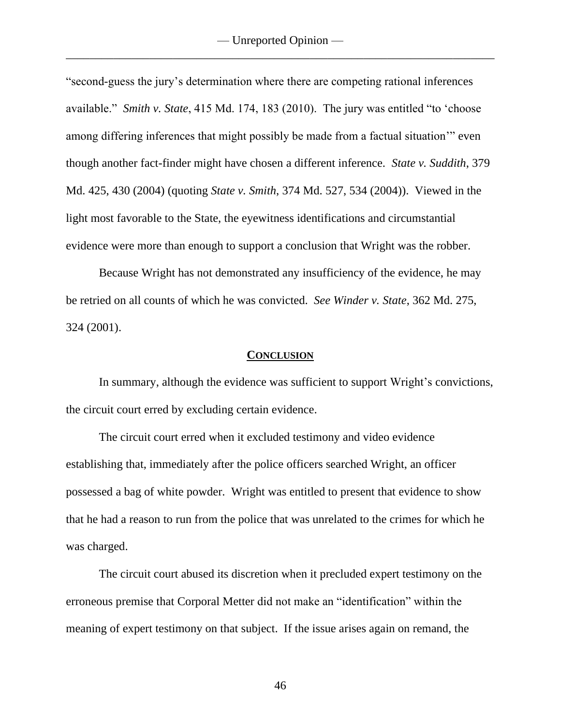"second-guess the jury's determination where there are competing rational inferences available." *Smith v. State*, 415 Md. 174, 183 (2010). The jury was entitled "to 'choose among differing inferences that might possibly be made from a factual situation'" even though another fact-finder might have chosen a different inference. *State v. Suddith*, 379 Md. 425, 430 (2004) (quoting *State v. Smith*, 374 Md. 527, 534 (2004)). Viewed in the light most favorable to the State, the eyewitness identifications and circumstantial evidence were more than enough to support a conclusion that Wright was the robber.

Because Wright has not demonstrated any insufficiency of the evidence, he may be retried on all counts of which he was convicted. *See Winder v. State*, 362 Md. 275, 324 (2001).

#### **CONCLUSION**

In summary, although the evidence was sufficient to support Wright's convictions, the circuit court erred by excluding certain evidence.

The circuit court erred when it excluded testimony and video evidence establishing that, immediately after the police officers searched Wright, an officer possessed a bag of white powder. Wright was entitled to present that evidence to show that he had a reason to run from the police that was unrelated to the crimes for which he was charged.

The circuit court abused its discretion when it precluded expert testimony on the erroneous premise that Corporal Metter did not make an "identification" within the meaning of expert testimony on that subject. If the issue arises again on remand, the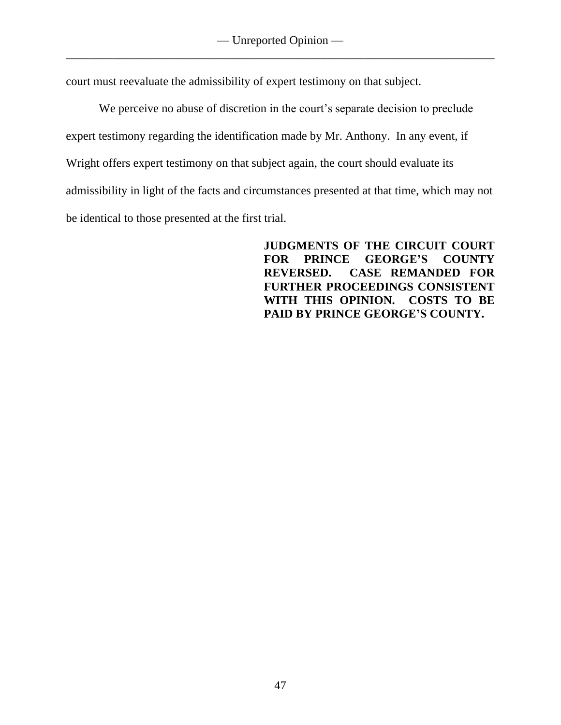court must reevaluate the admissibility of expert testimony on that subject.

We perceive no abuse of discretion in the court's separate decision to preclude expert testimony regarding the identification made by Mr. Anthony. In any event, if Wright offers expert testimony on that subject again, the court should evaluate its admissibility in light of the facts and circumstances presented at that time, which may not be identical to those presented at the first trial.

> **JUDGMENTS OF THE CIRCUIT COURT FOR PRINCE GEORGE'S COUNTY REVERSED. CASE REMANDED FOR FURTHER PROCEEDINGS CONSISTENT WITH THIS OPINION. COSTS TO BE PAID BY PRINCE GEORGE'S COUNTY.**